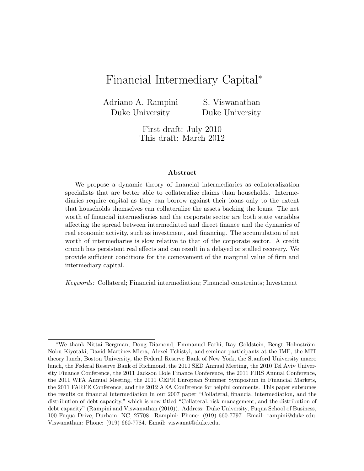# Financial Intermediary Capital<sup>∗</sup>

Adriano A. Rampini Duke University

S. Viswanathan Duke University

First draft: July 2010 This draft: March 2012

#### **Abstract**

We propose a dynamic theory of financial intermediaries as collateralization specialists that are better able to collateralize claims than households. Intermediaries require capital as they can borrow against their loans only to the extent that households themselves can collateralize the assets backing the loans. The net worth of financial intermediaries and the corporate sector are both state variables affecting the spread between intermediated and direct finance and the dynamics of real economic activity, such as investment, and financing. The accumulation of net worth of intermediaries is slow relative to that of the corporate sector. A credit crunch has persistent real effects and can result in a delayed or stalled recovery. We provide sufficient conditions for the comovement of the marginal value of firm and intermediary capital.

Keywords: Collateral; Financial intermediation; Financial constraints; Investment

<sup>\*</sup>We thank Nittai Bergman, Doug Diamond, Emmanuel Farhi, Itay Goldstein, Bengt Holmström, Nobu Kiyotaki, David Martinez-Miera, Alexei Tchistyi, and seminar participants at the IMF, the MIT theory lunch, Boston University, the Federal Reserve Bank of New York, the Stanford University macro lunch, the Federal Reserve Bank of Richmond, the 2010 SED Annual Meeting, the 2010 Tel Aviv University Finance Conference, the 2011 Jackson Hole Finance Conference, the 2011 FIRS Annual Conference, the 2011 WFA Annual Meeting, the 2011 CEPR European Summer Symposium in Financial Markets, the 2011 FARFE Conference, and the 2012 AEA Conference for helpful comments. This paper subsumes the results on financial intermediation in our 2007 paper "Collateral, financial intermediation, and the distribution of debt capacity," which is now titled "Collateral, risk management, and the distribution of debt capacity" (Rampini and Viswanathan (2010)). Address: Duke University, Fuqua School of Business, 100 Fuqua Drive, Durham, NC, 27708. Rampini: Phone: (919) 660-7797. Email: rampini@duke.edu. Viswanathan: Phone: (919) 660-7784. Email: viswanat@duke.edu.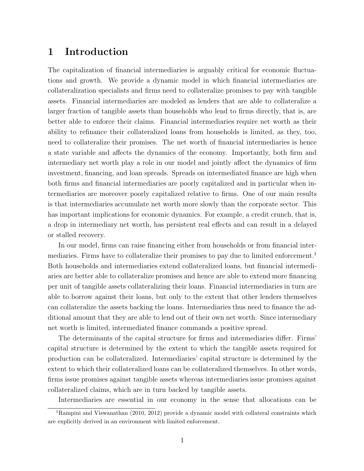## **1 Introduction**

The capitalization of financial intermediaries is arguably critical for economic fluctuations and growth. We provide a dynamic model in which financial intermediaries are collateralization specialists and firms need to collateralize promises to pay with tangible assets. Financial intermediaries are modeled as lenders that are able to collateralize a larger fraction of tangible assets than households who lend to firms directly, that is, are better able to enforce their claims. Financial intermediaries require net worth as their ability to refinance their collateralized loans from households is limited, as they, too, need to collateralize their promises. The net worth of financial intermediaries is hence a state variable and affects the dynamics of the economy. Importantly, both firm and intermediary net worth play a role in our model and jointly affect the dynamics of firm investment, financing, and loan spreads. Spreads on intermediated finance are high when both firms and financial intermediaries are poorly capitalized and in particular when intermediaries are moreover poorly capitalized relative to firms. One of our main results is that intermediaries accumulate net worth more slowly than the corporate sector. This has important implications for economic dynamics. For example, a credit crunch, that is, a drop in intermediary net worth, has persistent real effects and can result in a delayed or stalled recovery.

In our model, firms can raise financing either from households or from financial intermediaries. Firms have to collateralize their promises to pay due to limited enforcement.<sup>1</sup> Both households and intermediaries extend collateralized loans, but financial intermediaries are better able to collateralize promises and hence are able to extend more financing per unit of tangible assets collateralizing their loans. Financial intermediaries in turn are able to borrow against their loans, but only to the extent that other lenders themselves can collateralize the assets backing the loans. Intermediaries thus need to finance the additional amount that they are able to lend out of their own net worth. Since intermediary net worth is limited, intermediated finance commands a positive spread.

The determinants of the capital structure for firms and intermediaries differ. Firms' capital structure is determined by the extent to which the tangible assets required for production can be collateralized. Intermediaries' capital structure is determined by the extent to which their collateralized loans can be collateralized themselves. In other words, firms issue promises against tangible assets whereas intermediaries issue promises against collateralized claims, which are in turn backed by tangible assets.

Intermediaries are essential in our economy in the sense that allocations can be

<sup>&</sup>lt;sup>1</sup>Rampini and Viswanathan (2010, 2012) provide a dynamic model with collateral constraints which are explicitly derived in an environment with limited enforcement.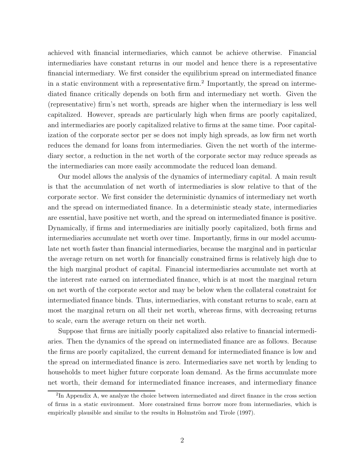achieved with financial intermediaries, which cannot be achieve otherwise. Financial intermediaries have constant returns in our model and hence there is a representative financial intermediary. We first consider the equilibrium spread on intermediated finance in a static environment with a representative firm.<sup>2</sup> Importantly, the spread on intermediated finance critically depends on both firm and intermediary net worth. Given the (representative) firm's net worth, spreads are higher when the intermediary is less well capitalized. However, spreads are particularly high when firms are poorly capitalized, and intermediaries are poorly capitalized relative to firms at the same time. Poor capitalization of the corporate sector per se does not imply high spreads, as low firm net worth reduces the demand for loans from intermediaries. Given the net worth of the intermediary sector, a reduction in the net worth of the corporate sector may reduce spreads as the intermediaries can more easily accommodate the reduced loan demand.

Our model allows the analysis of the dynamics of intermediary capital. A main result is that the accumulation of net worth of intermediaries is slow relative to that of the corporate sector. We first consider the deterministic dynamics of intermediary net worth and the spread on intermediated finance. In a deterministic steady state, intermediaries are essential, have positive net worth, and the spread on intermediated finance is positive. Dynamically, if firms and intermediaries are initially poorly capitalized, both firms and intermediaries accumulate net worth over time. Importantly, firms in our model accumulate net worth faster than financial intermediaries, because the marginal and in particular the average return on net worth for financially constrained firms is relatively high due to the high marginal product of capital. Financial intermediaries accumulate net worth at the interest rate earned on intermediated finance, which is at most the marginal return on net worth of the corporate sector and may be below when the collateral constraint for intermediated finance binds. Thus, intermediaries, with constant returns to scale, earn at most the marginal return on all their net worth, whereas firms, with decreasing returns to scale, earn the average return on their net worth.

Suppose that firms are initially poorly capitalized also relative to financial intermediaries. Then the dynamics of the spread on intermediated finance are as follows. Because the firms are poorly capitalized, the current demand for intermediated finance is low and the spread on intermediated finance is zero. Intermediaries save net worth by lending to households to meet higher future corporate loan demand. As the firms accumulate more net worth, their demand for intermediated finance increases, and intermediary finance

<sup>&</sup>lt;sup>2</sup>In Appendix A, we analyze the choice between intermediated and direct finance in the cross section of firms in a static environment. More constrained firms borrow more from intermediaries, which is empirically plausible and similar to the results in Holmström and Tirole (1997).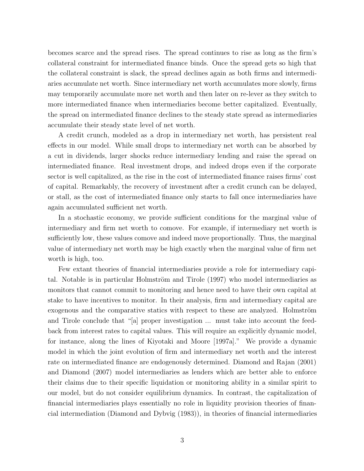becomes scarce and the spread rises. The spread continues to rise as long as the firm's collateral constraint for intermediated finance binds. Once the spread gets so high that the collateral constraint is slack, the spread declines again as both firms and intermediaries accumulate net worth. Since intermediary net worth accumulates more slowly, firms may temporarily accumulate more net worth and then later on re-lever as they switch to more intermediated finance when intermediaries become better capitalized. Eventually, the spread on intermediated finance declines to the steady state spread as intermediaries accumulate their steady state level of net worth.

A credit crunch, modeled as a drop in intermediary net worth, has persistent real effects in our model. While small drops to intermediary net worth can be absorbed by a cut in dividends, larger shocks reduce intermediary lending and raise the spread on intermediated finance. Real investment drops, and indeed drops even if the corporate sector is well capitalized, as the rise in the cost of intermediated finance raises firms' cost of capital. Remarkably, the recovery of investment after a credit crunch can be delayed, or stall, as the cost of intermediated finance only starts to fall once intermediaries have again accumulated sufficient net worth.

In a stochastic economy, we provide sufficient conditions for the marginal value of intermediary and firm net worth to comove. For example, if intermediary net worth is sufficiently low, these values comove and indeed move proportionally. Thus, the marginal value of intermediary net worth may be high exactly when the marginal value of firm net worth is high, too.

Few extant theories of financial intermediaries provide a role for intermediary capital. Notable is in particular Holmström and Tirole (1997) who model intermediaries as monitors that cannot commit to monitoring and hence need to have their own capital at stake to have incentives to monitor. In their analysis, firm and intermediary capital are exogenous and the comparative statics with respect to these are analyzed. Holmström and Tirole conclude that "[a] proper investigation ... must take into account the feedback from interest rates to capital values. This will require an explicitly dynamic model, for instance, along the lines of Kiyotaki and Moore [1997a]." We provide a dynamic model in which the joint evolution of firm and intermediary net worth and the interest rate on intermediated finance are endogenously determined. Diamond and Rajan (2001) and Diamond (2007) model intermediaries as lenders which are better able to enforce their claims due to their specific liquidation or monitoring ability in a similar spirit to our model, but do not consider equilibrium dynamics. In contrast, the capitalization of financial intermediaries plays essentially no role in liquidity provision theories of financial intermediation (Diamond and Dybvig (1983)), in theories of financial intermediaries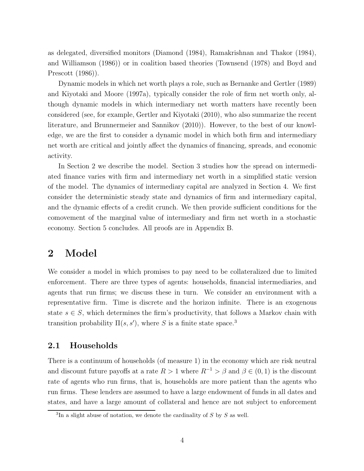as delegated, diversified monitors (Diamond (1984), Ramakrishnan and Thakor (1984), and Williamson (1986)) or in coalition based theories (Townsend (1978) and Boyd and Prescott (1986)).

Dynamic models in which net worth plays a role, such as Bernanke and Gertler (1989) and Kiyotaki and Moore (1997a), typically consider the role of firm net worth only, although dynamic models in which intermediary net worth matters have recently been considered (see, for example, Gertler and Kiyotaki (2010), who also summarize the recent literature, and Brunnermeier and Sannikov (2010)). However, to the best of our knowledge, we are the first to consider a dynamic model in which both firm and intermediary net worth are critical and jointly affect the dynamics of financing, spreads, and economic activity.

In Section 2 we describe the model. Section 3 studies how the spread on intermediated finance varies with firm and intermediary net worth in a simplified static version of the model. The dynamics of intermediary capital are analyzed in Section 4. We first consider the deterministic steady state and dynamics of firm and intermediary capital, and the dynamic effects of a credit crunch. We then provide sufficient conditions for the comovement of the marginal value of intermediary and firm net worth in a stochastic economy. Section 5 concludes. All proofs are in Appendix B.

## **2 Model**

We consider a model in which promises to pay need to be collateralized due to limited enforcement. There are three types of agents: households, financial intermediaries, and agents that run firms; we discuss these in turn. We consider an environment with a representative firm. Time is discrete and the horizon infinite. There is an exogenous state  $s \in S$ , which determines the firm's productivity, that follows a Markov chain with transition probability  $\Pi(s, s')$ , where *S* is a finite state space.<sup>3</sup>

## **2.1 Households**

There is a continuum of households (of measure 1) in the economy which are risk neutral and discount future payoffs at a rate  $R > 1$  where  $R^{-1} > \beta$  and  $\beta \in (0, 1)$  is the discount rate of agents who run firms, that is, households are more patient than the agents who run firms. These lenders are assumed to have a large endowment of funds in all dates and states, and have a large amount of collateral and hence are not subject to enforcement

<sup>3</sup>In a slight abuse of notation, we denote the cardinality of *S* by *S* as well.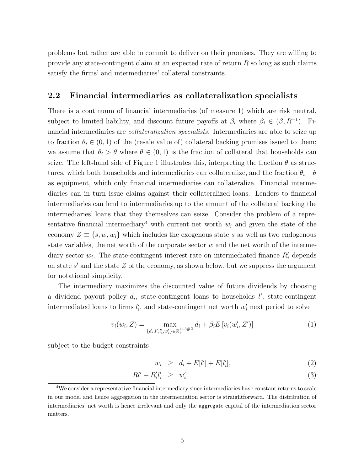problems but rather are able to commit to deliver on their promises. They are willing to provide any state-contingent claim at an expected rate of return *R* so long as such claims satisfy the firms' and intermediaries' collateral constraints.

## **2.2 Financial intermediaries as collateralization specialists**

There is a continuum of financial intermediaries (of measure 1) which are risk neutral, subject to limited liability, and discount future payoffs at  $\beta_i$  where  $\beta_i \in (\beta, R^{-1})$ . Financial intermediaries are *collateralization specialists.* Intermediaries are able to seize up to fraction  $\theta_i \in (0,1)$  of the (resale value of) collateral backing promises issued to them; we assume that  $\theta_i > \theta$  where  $\theta \in (0,1)$  is the fraction of collateral that households can seize. The left-hand side of Figure 1 illustrates this, interpreting the fraction  $\theta$  as structures, which both households and intermediaries can collateralize, and the fraction  $\theta_i - \theta$ as equipment, which only financial intermediaries can collateralize. Financial intermediaries can in turn issue claims against their collateralized loans. Lenders to financial intermediaries can lend to intermediaries up to the amount of the collateral backing the intermediaries' loans that they themselves can seize. Consider the problem of a representative financial intermediary<sup>4</sup> with current net worth  $w_i$  and given the state of the economy  $Z \equiv \{s, w, w_i\}$  which includes the exogenous state *s* as well as two endogenous state variables, the net worth of the corporate sector *w* and the net worth of the intermediary sector  $w_i$ . The state-contingent interest rate on intermediated finance  $R'_i$  depends on state  $s'$  and the state  $Z$  of the economy, as shown below, but we suppress the argument for notational simplicity.

The intermediary maximizes the discounted value of future dividends by choosing a dividend payout policy  $d_i$ , state-contingent loans to households  $l'$ , state-contingent intermediated loans to firms  $l'_i$ , and state-contingent net worth  $w'_i$  next period to solve

$$
v_i(w_i, Z) = \max_{\{d_i, l', l'_i, w'_i\} \in \mathbb{R}_+^{1+3\#Z}} d_i + \beta_i E \left[ v_i(w'_i, Z') \right]
$$
(1)

subject to the budget constraints

$$
w_i \ge d_i + E[l'] + E[l'_i], \tag{2}
$$

$$
Rl' + R_i'l_i' \geq w_i'.\tag{3}
$$

<sup>4</sup>We consider a representative financial intermediary since intermediaries have constant returns to scale in our model and hence aggregation in the intermediation sector is straightforward. The distribution of intermediaries' net worth is hence irrelevant and only the aggregate capital of the intermediation sector matters.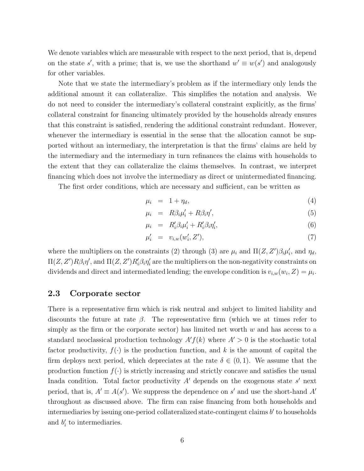We denote variables which are measurable with respect to the next period, that is, depend on the state *s'*, with a prime; that is, we use the shorthand  $w' \equiv w(s')$  and analogously for other variables.

Note that we state the intermediary's problem as if the intermediary only lends the additional amount it can collateralize. This simplifies the notation and analysis. We do not need to consider the intermediary's collateral constraint explicitly, as the firms' collateral constraint for financing ultimately provided by the households already ensures that this constraint is satisfied, rendering the additional constraint redundant. However, whenever the intermediary is essential in the sense that the allocation cannot be supported without an intermediary, the interpretation is that the firms' claims are held by the intermediary and the intermediary in turn refinances the claims with households to the extent that they can collateralize the claims themselves. In contrast, we interpret financing which does not involve the intermediary as direct or unintermediated financing.

The first order conditions, which are necessary and sufficient, can be written as

$$
\mu_i = 1 + \eta_d,\tag{4}
$$

$$
\mu_i = R\beta_i \mu'_i + R\beta_i \eta', \tag{5}
$$

$$
\mu_i = R'_i \beta_i \mu'_i + R'_i \beta_i \eta'_i, \tag{6}
$$

$$
\mu'_i = v_{i,w}(w'_i, Z'),\tag{7}
$$

where the multipliers on the constraints (2) through (3) are  $\mu_i$  and  $\Pi(Z, Z')\beta_i\mu'_i$ , and  $\eta_d$ ,  $\Pi(Z, Z')R\beta_i\eta',$  and  $\Pi(Z, Z')R'_i\beta_i\eta'_i$  are the multipliers on the non-negativity constraints on dividends and direct and intermediated lending; the envelope condition is  $v_{i,w}(w_i, Z) = \mu_i$ .

### **2.3 Corporate sector**

There is a representative firm which is risk neutral and subject to limited liability and discounts the future at rate  $\beta$ . The representative firm (which we at times refer to simply as the firm or the corporate sector) has limited net worth *w* and has access to a standard neoclassical production technology  $A'f(k)$  where  $A' > 0$  is the stochastic total factor productivity,  $f(.)$  is the production function, and k is the amount of capital the firm deploys next period, which depreciates at the rate  $\delta \in (0,1)$ . We assume that the production function  $f(\cdot)$  is strictly increasing and strictly concave and satisfies the usual Inada condition. Total factor productivity  $A<sup>1</sup>$  depends on the exogenous state  $s<sup>1</sup>$  next period, that is,  $A' \equiv A(s')$ . We suppress the dependence on *s'* and use the short-hand  $A'$ throughout as discussed above. The firm can raise financing from both households and intermediaries by issuing one-period collateralized state-contingent claims  $b'$  to households and  $b_i'$  to intermediaries.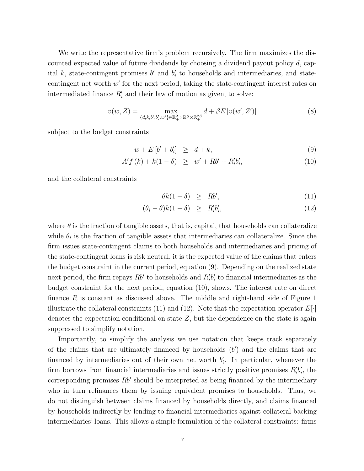We write the representative firm's problem recursively. The firm maximizes the discounted expected value of future dividends by choosing a dividend payout policy *d*, capital  $k$ , state-contingent promises  $b'$  and  $b'_i$  to households and intermediaries, and statecontingent net worth w' for the next period, taking the state-contingent interest rates on intermediated finance  $R_i$ <sup>*a*</sup> and their law of motion as given, to solve:

$$
v(w, Z) = \max_{\{d, k, b', b'_i, w'\} \in \mathbb{R}_+^2 \times \mathbb{R}^S \times \mathbb{R}_+^{2S}} d + \beta E[v(w', Z')] \tag{8}
$$

subject to the budget constraints

$$
w + E\left[b' + b'_i\right] \ge d + k,\tag{9}
$$

$$
A'f(k) + k(1 - \delta) \geq w' + Rb' + R'_i b'_i,
$$
\n(10)

and the collateral constraints

$$
\theta k(1 - \delta) \ge Rb', \tag{11}
$$

$$
(\theta_i - \theta)k(1 - \delta) \ge R_i'b_i', \tag{12}
$$

where  $\theta$  is the fraction of tangible assets, that is, capital, that households can collateralize while  $\theta_i$  is the fraction of tangible assets that intermediaries can collateralize. Since the firm issues state-contingent claims to both households and intermediaries and pricing of the state-contingent loans is risk neutral, it is the expected value of the claims that enters the budget constraint in the current period, equation (9). Depending on the realized state next period, the firm repays  $Rb'$  to households and  $R'_{i}b'_{i}$  to financial intermediaries as the budget constraint for the next period, equation (10), shows. The interest rate on direct finance R is constant as discussed above. The middle and right-hand side of Figure 1 illustrate the collateral constraints (11) and (12). Note that the expectation operator  $E[\cdot]$ denotes the expectation conditional on state *Z*, but the dependence on the state is again suppressed to simplify notation.

Importantly, to simplify the analysis we use notation that keeps track separately of the claims that are ultimately financed by households  $(b')$  and the claims that are financed by intermediaries out of their own net worth  $b_i'$ . In particular, whenever the firm borrows from financial intermediaries and issues strictly positive promises  $R_i' b_i'$ , the corresponding promises  $Rb'$  should be interpreted as being financed by the intermediary who in turn refinances them by issuing equivalent promises to households. Thus, we do not distinguish between claims financed by households directly, and claims financed by households indirectly by lending to financial intermediaries against collateral backing intermediaries' loans. This allows a simple formulation of the collateral constraints: firms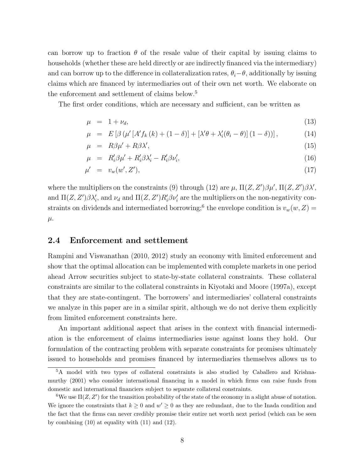can borrow up to fraction  $\theta$  of the resale value of their capital by issuing claims to households (whether these are held directly or are indirectly financed via the intermediary) and can borrow up to the difference in collateralization rates,  $\theta_i - \theta$ , additionally by issuing claims which are financed by intermediaries out of their own net worth. We elaborate on the enforcement and settlement of claims below.<sup>5</sup>

The first order conditions, which are necessary and sufficient, can be written as

$$
\mu = 1 + \nu_d, \tag{13}
$$

$$
\mu = E\left[\beta\left(\mu'\left[A'f_k\left(k\right) + \left(1 - \delta\right)\right] + \left[\lambda'\theta + \lambda_i'(\theta_i - \theta)\right]\left(1 - \delta\right)\right]\right],\tag{14}
$$

$$
\mu = R\beta\mu' + R\beta\lambda',\tag{15}
$$

$$
\mu = R'_i \beta \mu' + R'_i \beta \lambda'_i - R'_i \beta \nu'_i,\tag{16}
$$

$$
\mu' = v_w(w', Z'),\tag{17}
$$

where the multipliers on the constraints (9) through (12) are  $\mu$ ,  $\Pi(Z, Z')\beta\mu'$ ,  $\Pi(Z, Z')\beta\lambda'$ , and  $\Pi(Z, Z')\beta\lambda_i'$ , and  $\nu_d$  and  $\Pi(Z, Z')R_i'\beta\nu_i'$  are the multipliers on the non-negativity constraints on dividends and intermediated borrowing;<sup>6</sup> the envelope condition is  $v_w(w, Z)$  = *µ.*

#### **2.4 Enforcement and settlement**

Rampini and Viswanathan (2010, 2012) study an economy with limited enforcement and show that the optimal allocation can be implemented with complete markets in one period ahead Arrow securities subject to state-by-state collateral constraints. These collateral constraints are similar to the collateral constraints in Kiyotaki and Moore (1997a), except that they are state-contingent. The borrowers' and intermediaries' collateral constraints we analyze in this paper are in a similar spirit, although we do not derive them explicitly from limited enforcement constraints here.

An important additional aspect that arises in the context with financial intermediation is the enforcement of claims intermediaries issue against loans they hold. Our formulation of the contracting problem with separate constraints for promises ultimately issued to households and promises financed by intermediaries themselves allows us to

<sup>5</sup>A model with two types of collateral constraints is also studied by Caballero and Krishnamurthy (2001) who consider international financing in a model in which firms can raise funds from domestic and international financiers subject to separate collateral constraints.

<sup>&</sup>lt;sup>6</sup>We use  $\Pi(Z, Z')$  for the transition probability of the state of the economy in a slight abuse of notation. We ignore the constraints that  $k \geq 0$  and  $w' \geq 0$  as they are redundant, due to the Inada condition and the fact that the firms can never credibly promise their entire net worth next period (which can be seen by combining (10) at equality with (11) and (12).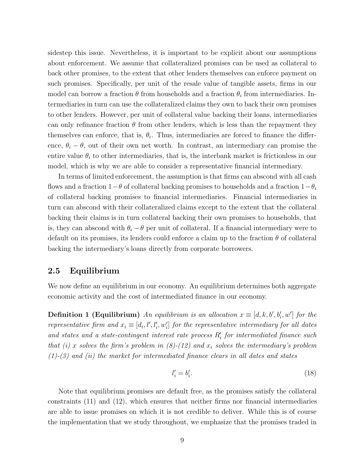sidestep this issue. Nevertheless, it is important to be explicit about our assumptions about enforcement. We assume that collateralized promises can be used as collateral to back other promises, to the extent that other lenders themselves can enforce payment on such promises. Specifically, per unit of the resale value of tangible assets, firms in our model can borrow a fraction  $\theta$  from households and a fraction  $\theta_i$  from intermediaries. Intermediaries in turn can use the collateralized claims they own to back their own promises to other lenders. However, per unit of collateral value backing their loans, intermediaries can only refinance fraction  $\theta$  from other lenders, which is less than the repayment they themselves can enforce, that is,  $\theta_i$ . Thus, intermediaries are forced to finance the difference,  $\theta_i - \theta$ , out of their own net worth. In contrast, an intermediary can promise the entire value  $\theta_i$  to other intermediaries, that is, the interbank market is frictionless in our model, which is why we are able to consider a representative financial intermediary.

In terms of limited enforcement, the assumption is that firms can abscond with all cash flows and a fraction 1−*θ* of collateral backing promises to households and a fraction 1−*θ*<sup>i</sup> of collateral backing promises to financial intermediaries. Financial intermediaries in turn can abscond with their collateralized claims except to the extent that the collateral backing their claims is in turn collateral backing their own promises to households, that is, they can abscond with  $\theta_i - \theta$  per unit of collateral. If a financial intermediary were to default on its promises, its lenders could enforce a claim up to the fraction *θ* of collateral backing the intermediary's loans directly from corporate borrowers.

## **2.5 Equilibrium**

We now define an equilibrium in our economy. An equilibrium determines both aggregate economic activity and the cost of intermediated finance in our economy.

**Definition 1 (Equilibrium)** *An equilibrium is an allocation*  $x \equiv [d, k, b', b'_i, w']$  *for the representative firm and*  $x_i \equiv [d_i, l', l'_i, w'_i]$  *for the representative intermediary for all dates*  $and$  states and a state-contingent interest rate process  $R_i'$  for intermediated finance such *that (i) x solves the firm's problem in (8)-(12) and x*<sup>i</sup> *solves the intermediary's problem (1)-(3) and (ii) the market for intermediated finance clears in all dates and states*

$$
l_i' = b_i'.\tag{18}
$$

Note that equilibrium promises are default free, as the promises satisfy the collateral constraints (11) and (12), which ensures that neither firms nor financial intermediaries are able to issue promises on which it is not credible to deliver. While this is of course the implementation that we study throughout, we emphasize that the promises traded in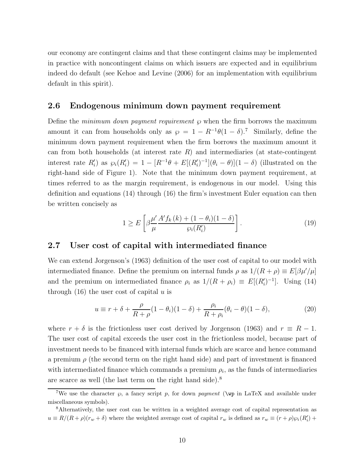our economy are contingent claims and that these contingent claims may be implemented in practice with noncontingent claims on which issuers are expected and in equilibrium indeed do default (see Kehoe and Levine (2006) for an implementation with equilibrium default in this spirit).

## **2.6 Endogenous minimum down payment requirement**

Define the *minimum down payment requirement ℘* when the firm borrows the maximum amount it can from households only as  $\wp = 1 - R^{-1}\theta(1 - \delta)$ .<sup>7</sup> Similarly, define the minimum down payment requirement when the firm borrows the maximum amount it can from both households (at interest rate *R*) and intermediaries (at state-contingent interest rate  $R'_i$ ) as  $\wp_i(R'_i) = 1 - [R^{-1}\theta + E[(R'_i)^{-1}](\theta_i - \theta)](1 - \delta)$  (illustrated on the right-hand side of Figure 1). Note that the minimum down payment requirement, at times referred to as the margin requirement, is endogenous in our model. Using this definition and equations (14) through (16) the firm's investment Euler equation can then be written concisely as

$$
1 \ge E\left[\beta \frac{\mu'}{\mu} \frac{A' f_k(k) + (1 - \theta_i)(1 - \delta)}{\wp_i(R_i')} \right].
$$
\n(19)

## **2.7 User cost of capital with intermediated finance**

We can extend Jorgenson's (1963) definition of the user cost of capital to our model with intermediated finance. Define the premium on internal funds  $\rho$  as  $1/(R+\rho) \equiv E[\beta \mu'/\mu]$ and the premium on intermediated finance  $\rho_i$  as  $1/(R + \rho_i) \equiv E[(R'_i)^{-1}]$ . Using (14) through (16) the user cost of capital *u* is

$$
u \equiv r + \delta + \frac{\rho}{R + \rho} (1 - \theta_i)(1 - \delta) + \frac{\rho_i}{R + \rho_i} (\theta_i - \theta)(1 - \delta), \tag{20}
$$

where  $r + \delta$  is the frictionless user cost derived by Jorgenson (1963) and  $r \equiv R - 1$ . The user cost of capital exceeds the user cost in the frictionless model, because part of investment needs to be financed with internal funds which are scarce and hence command a premium  $\rho$  (the second term on the right hand side) and part of investment is financed with intermediated finance which commands a premium  $\rho_i$ , as the funds of intermediaries are scarce as well (the last term on the right hand side).<sup>8</sup>

<sup>&</sup>lt;sup>7</sup>We use the character  $\varphi$ , a fancy script p, for down payment ( $\varphi$  in LaTeX and available under miscellaneous symbols).

<sup>8</sup>Alternatively, the user cost can be written in a weighted average cost of capital representation as  $u \equiv R/(R+\rho)(r_w+\delta)$  where the weighted average cost of capital  $r_w$  is defined as  $r_w \equiv (r+\rho)\wp_i(R'_i) +$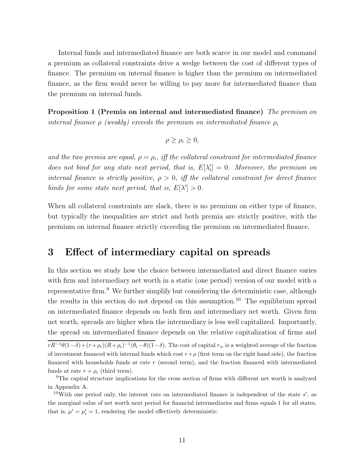Internal funds and intermediated finance are both scarce in our model and command a premium as collateral constraints drive a wedge between the cost of different types of finance. The premium on internal finance is higher than the premium on intermediated finance, as the firm would never be willing to pay more for intermediated finance than the premium on internal funds.

**Proposition 1 (Premia on internal and intermediated finance)** *The premium on internal finance*  $\rho$  *(weakly) exceeds the premium on intermediated finance*  $\rho_i$ 

$$
\rho \ge \rho_i \ge 0,
$$

*and the two premia are equal,*  $\rho = \rho_i$ , iff the collateral constraint for intermediated finance *does not bind for any state next period, that is,*  $E[\lambda'_i] = 0$ *. Moreover, the premium on internal finance is strictly positive,*  $\rho > 0$ *, iff the collateral constraint for direct finance binds for some state next period, that is,*  $E[\lambda'] > 0$ .

When all collateral constraints are slack, there is no premium on either type of finance, but typically the inequalities are strict and both premia are strictly positive, with the premium on internal finance strictly exceeding the premium on intermediated finance.

## **3 Effect of intermediary capital on spreads**

In this section we study how the choice between intermediated and direct finance varies with firm and intermediary net worth in a static (one period) version of our model with a representative firm.<sup>9</sup> We further simplify but considering the deterministic case, although the results in this section do not depend on this assumption.<sup>10</sup> The equilibrium spread on intermediated finance depends on both firm and intermediary net worth. Given firm net worth, spreads are higher when the intermediary is less well capitalized. Importantly, the spread on intermediated finance depends on the relative capitalization of firms and

 $rR^{-1}\theta(1-\delta)+(r+\rho_i)(R+\rho_i)^{-1}(\theta_i-\theta)(1-\delta)$ . The cost of capital  $r_w$  is a weighted average of the fraction of investment financed with internal funds which cost  $r+\rho$  (first term on the right hand side), the fraction financed with households funds at rate *r* (second term), and the fraction financed with intermediated funds at rate  $r + \rho_i$  (third term).

<sup>9</sup>The capital structure implications for the cross section of firms with different net worth is analyzed in Appendix A.

<sup>&</sup>lt;sup>10</sup>With one period only, the interest rate on intermediated finance is independent of the state  $s'$ , as the marginal value of net worth next period for financial intermediaries and firms equals 1 for all states, that is,  $\mu' = \mu'_i = 1$ , rendering the model effectively deterministic.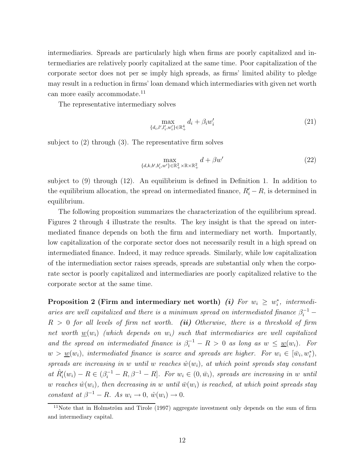intermediaries. Spreads are particularly high when firms are poorly capitalized and intermediaries are relatively poorly capitalized at the same time. Poor capitalization of the corporate sector does not per se imply high spreads, as firms' limited ability to pledge may result in a reduction in firms' loan demand which intermediaries with given net worth can more easily accommodate.<sup>11</sup>

The representative intermediary solves

$$
\max_{\{d_i, l', l'_i, w'_i\} \in \mathbb{R}_+^4} d_i + \beta_i w'_i \tag{21}
$$

subject to (2) through (3). The representative firm solves

$$
\max_{\{d,k,b',b'_i,w'\}\in\mathbb{R}^2_+\times\mathbb{R}\times\mathbb{R}^2_+} d + \beta w'
$$
 (22)

subject to (9) through (12). An equilibrium is defined in Definition 1. In addition to the equilibrium allocation, the spread on intermediated finance,  $R_i' - R$ , is determined in equilibrium.

The following proposition summarizes the characterization of the equilibrium spread. Figures 2 through 4 illustrate the results. The key insight is that the spread on intermediated finance depends on both the firm and intermediary net worth. Importantly, low capitalization of the corporate sector does not necessarily result in a high spread on intermediated finance. Indeed, it may reduce spreads. Similarly, while low capitalization of the intermediation sector raises spreads, spreads are substantial only when the corporate sector is poorly capitalized and intermediaries are poorly capitalized relative to the corporate sector at the same time.

**Proposition 2 (Firm and intermediary net worth)** *(i)* **For**  $w_i \geq w_i^*$ **, intermedi***aries are well capitalized and there is a minimum spread on intermediated finance*  $\beta_i^{-1}$  – *R >* 0 *for all levels of firm net worth. (ii) Otherwise, there is a threshold of firm net worth*  $w(w_i)$  (which depends on  $w_i$ ) such that intermediaries are well capitalized *and the spread on intermediated finance is*  $\beta_i^{-1} - R > 0$  *as long as*  $w \leq w(w_i)$ *. For*  $w > w(w_i)$ , *intermediated finance is scarce and spreads are higher. For*  $w_i \in [\bar{w}_i, w_i^*),$ *spreads are increasing in w until w reaches*  $\hat{w}(w_i)$ *, at which point spreads stay constant*  $\hat{R}'_i(w_i) - R \in (\beta_i^{-1} - R, \beta^{-1} - R]$ *. For*  $w_i \in (0, \bar{w}_i)$ *, spreads are increasing in w until w* reaches  $\hat{w}(w_i)$ , then decreasing in *w until*  $\bar{w}(w_i)$  *is reached, at which point spreads stay constant at*  $\beta^{-1} - R$ *. As*  $w_i \to 0$ ,  $\hat{w}(w_i) \to 0$ .

 $11$ Note that in Holmström and Tirole (1997) aggregate investment only depends on the sum of firm and intermediary capital.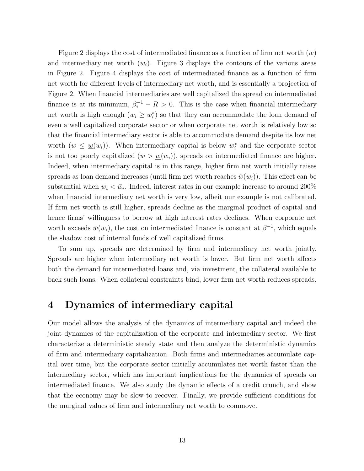Figure 2 displays the cost of intermediated finance as a function of firm net worth (*w*) and intermediary net worth  $(w_i)$ . Figure 3 displays the contours of the various areas in Figure 2. Figure 4 displays the cost of intermediated finance as a function of firm net worth for different levels of intermediary net worth, and is essentially a projection of Figure 2. When financial intermediaries are well capitalized the spread on intermediated finance is at its minimum,  $\beta_i^{-1} - R > 0$ . This is the case when financial intermediary net worth is high enough  $(w_i \geq w_i^*)$  so that they can accommodate the loan demand of even a well capitalized corporate sector or when corporate net worth is relatively low so that the financial intermediary sector is able to accommodate demand despite its low net worth  $(w \leq \underline{w}(w_i))$ . When intermediary capital is below  $w_i^*$  and the corporate sector is not too poorly capitalized  $(w > w(w_i))$ , spreads on intermediated finance are higher. Indeed, when intermediary capital is in this range, higher firm net worth initially raises spreads as loan demand increases (until firm net worth reaches  $\hat{w}(w_i)$ ). This effect can be substantial when  $w_i < \bar{w}_i$ . Indeed, interest rates in our example increase to around 200% when financial intermediary net worth is very low, albeit our example is not calibrated. If firm net worth is still higher, spreads decline as the marginal product of capital and hence firms' willingness to borrow at high interest rates declines. When corporate net worth exceeds  $\bar{w}(w_i)$ , the cost on intermediated finance is constant at  $\beta^{-1}$ , which equals the shadow cost of internal funds of well capitalized firms.

To sum up, spreads are determined by firm and intermediary net worth jointly. Spreads are higher when intermediary net worth is lower. But firm net worth affects both the demand for intermediated loans and, via investment, the collateral available to back such loans. When collateral constraints bind, lower firm net worth reduces spreads.

## **4 Dynamics of intermediary capital**

Our model allows the analysis of the dynamics of intermediary capital and indeed the joint dynamics of the capitalization of the corporate and intermediary sector. We first characterize a deterministic steady state and then analyze the deterministic dynamics of firm and intermediary capitalization. Both firms and intermediaries accumulate capital over time, but the corporate sector initially accumulates net worth faster than the intermediary sector, which has important implications for the dynamics of spreads on intermediated finance. We also study the dynamic effects of a credit crunch, and show that the economy may be slow to recover. Finally, we provide sufficient conditions for the marginal values of firm and intermediary net worth to commove.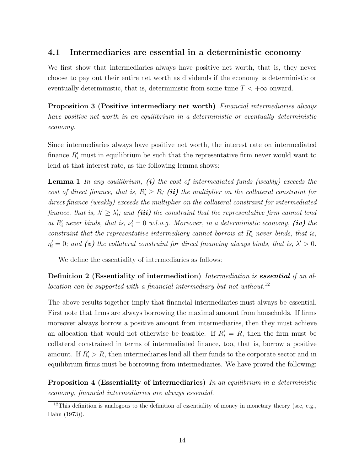## **4.1 Intermediaries are essential in a deterministic economy**

We first show that intermediaries always have positive net worth, that is, they never choose to pay out their entire net worth as dividends if the economy is deterministic or eventually deterministic, that is, deterministic from some time  $T < +\infty$  onward.

**Proposition 3 (Positive intermediary net worth)** *Financial intermediaries always have positive net worth in an equilibrium in a deterministic or eventually deterministic economy.*

Since intermediaries always have positive net worth, the interest rate on intermediated finance  $R'_{i}$  must in equilibrium be such that the representative firm never would want to lend at that interest rate, as the following lemma shows:

**Lemma 1** *In any equilibrium, (i) the cost of intermediated funds (weakly) exceeds the cost of direct finance, that is,*  $R_i' \geq R$ *; (ii) the multiplier on the collateral constraint for direct finance (weakly) exceeds the multiplier on the collateral constraint for intermediated finance, that is,*  $\lambda' \geq \lambda'_{i}$ *; and (iii) the constraint that the representative firm cannot lend at*  $R_i'$  never binds, that is,  $\nu_i' = 0$  *w.l.o.g. Moreover, in a deterministic economy, (iv)* the *constraint that the representative intermediary cannot borrow at*  $R_i'$  *never binds, that is,*  $\eta_i' = 0$ ; and (v) the collateral constraint for direct financing always binds, that is,  $\lambda' > 0$ .

We define the essentiality of intermediaries as follows:

**Definition 2 (Essentiality of intermediation)** *Intermediation is essential if an allocation can be supported with a financial intermediary but not without.*<sup>12</sup>

The above results together imply that financial intermediaries must always be essential. First note that firms are always borrowing the maximal amount from households. If firms moreover always borrow a positive amount from intermediaries, then they must achieve an allocation that would not otherwise be feasible. If  $R_i' = R$ , then the firm must be collateral constrained in terms of intermediated finance, too, that is, borrow a positive amount. If  $R'_i > R$ , then intermediaries lend all their funds to the corporate sector and in equilibrium firms must be borrowing from intermediaries. We have proved the following:

**Proposition 4 (Essentiality of intermediaries)** *In an equilibrium in a deterministic economy, financial intermediaries are always essential.*

 $12$ This definition is analogous to the definition of essentiality of money in monetary theory (see, e.g., Hahn (1973)).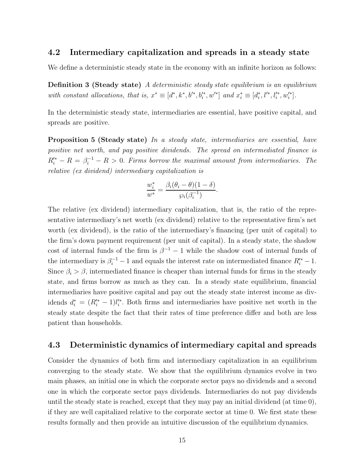## **4.2 Intermediary capitalization and spreads in a steady state**

We define a deterministic steady state in the economy with an infinite horizon as follows:

**Definition 3 (Steady state)** *A deterministic steady state equilibrium is an equilibrium with constant allocations, that is,*  $x^* \equiv [d^*, k^*, b'^*, b'^*_i, w'^*]$  *and*  $x_i^* \equiv [d_i^*, l'^*, l'^*_i, w'^*_i]$ *.* 

In the deterministic steady state, intermediaries are essential, have positive capital, and spreads are positive.

**Proposition 5 (Steady state)** *In a steady state, intermediaries are essential, have positive net worth, and pay positive dividends. The spread on intermediated finance is*  $R_i^* - R = \beta_i^{-1} - R > 0$ . *Firms borrow the maximal amount from intermediaries. The relative (ex dividend) intermediary capitalization is*

$$
\frac{w_i^*}{w^*} = \frac{\beta_i(\theta_i - \theta)(1 - \delta)}{\wp_i(\beta_i^{-1})}.
$$

The relative (ex dividend) intermediary capitalization, that is, the ratio of the representative intermediary's net worth (ex dividend) relative to the representative firm's net worth (ex dividend), is the ratio of the intermediary's financing (per unit of capital) to the firm's down payment requirement (per unit of capital). In a steady state, the shadow cost of internal funds of the firm is  $\beta^{-1} - 1$  while the shadow cost of internal funds of the intermediary is  $\beta_i^{-1} - 1$  and equals the interest rate on intermediated finance  $R_i^{\prime *} - 1$ . Since  $\beta_i > \beta$ , intermediated finance is cheaper than internal funds for firms in the steady state, and firms borrow as much as they can. In a steady state equilibrium, financial intermediaries have positive capital and pay out the steady state interest income as dividends  $d_i^* = (R_i^* - 1)l_i^*$ . Both firms and intermediaries have positive net worth in the steady state despite the fact that their rates of time preference differ and both are less patient than households.

### **4.3 Deterministic dynamics of intermediary capital and spreads**

Consider the dynamics of both firm and intermediary capitalization in an equilibrium converging to the steady state. We show that the equilibrium dynamics evolve in two main phases, an initial one in which the corporate sector pays no dividends and a second one in which the corporate sector pays dividends. Intermediaries do not pay dividends until the steady state is reached, except that they may pay an initial dividend (at time 0), if they are well capitalized relative to the corporate sector at time 0. We first state these results formally and then provide an intuitive discussion of the equilibrium dynamics.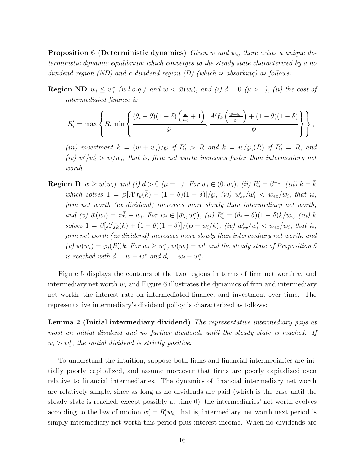**Proposition 6 (Deterministic dynamics)** *Given w and w*i*, there exists a unique deterministic dynamic equilibrium which converges to the steady state characterized by a no dividend region (ND) and a dividend region (D) (which is absorbing) as follows:*

**Region ND**  $w_i \leq w_i^*$  (w.l.o.g.) and  $w < \bar{w}(w_i)$ , and (i)  $d = 0$  ( $\mu > 1$ ), (ii) the cost of *intermediated finance is*

$$
R'_{i} = \max \left\{ R, \min \left\{ \frac{(\theta_{i} - \theta)(1 - \delta) \left( \frac{w}{w_{i}} + 1 \right)}{\wp}, \frac{A' f_{k} \left( \frac{w + w_{i}}{\wp} \right) + (1 - \theta)(1 - \delta)}{\wp} \right\} \right\},\
$$

*(iii)* investment  $k = (w + w_i)/\wp$  if  $R'_i > R$  and  $k = w/\wp_i(R)$  if  $R'_i = R$ , and  $(iv)$   $w'/w'_{i} > w/w_{i}$ , that is, firm net worth increases faster than intermediary net *worth.*

**Region D**  $w \ge \overline{w}(w_i)$  and (i)  $d > 0$  ( $\mu = 1$ ). For  $w_i \in (0, \overline{w}_i)$ , (ii)  $R'_i = \beta^{-1}$ , (iii)  $k = \overline{k}$  $which$  solves  $1 = \beta[A' f_k(\bar{k}) + (1 - \theta)(1 - \delta)]/\wp, \ (iv) \ w'_{ex}/w'_{i} < w_{ex}/w_{i}, \ that \ is,$ *firm net worth (ex dividend) increases more slowly than intermediary net worth,*  $and (v) \ \bar{w}(w_i) = \wp \bar{k} - w_i$ . For  $w_i \in [\bar{w}_i, w_i^*), (ii) \ R'_i = (\theta_i - \theta)(1 - \delta)k/w_i$ , (iii)  $k$  $solves 1 = \beta[A'f_k(k) + (1 - \theta)(1 - \delta)]/(\wp - w_i/k), \ (iv) \ w'_{ex}/w'_i < w_{ex}/w_i, \ that \ is,$ *firm net worth (ex dividend) increases more slowly than intermediary net worth, and*  $(v)$   $\bar{w}(w_i) = \wp_i(R'_i)k$ . For  $w_i \geq w_i^*$ ,  $\bar{w}(w_i) = w^*$  and the steady state of Proposition 5 *is reached with*  $d = w - w^*$  *and*  $d_i = w_i - w_i^*$ .

Figure 5 displays the contours of the two regions in terms of firm net worth *w* and intermediary net worth  $w_i$  and Figure 6 illustrates the dynamics of firm and intermediary net worth, the interest rate on intermediated finance, and investment over time. The representative intermediary's dividend policy is characterized as follows:

**Lemma 2 (Initial intermediary dividend)** *The representative intermediary pays at most an initial dividend and no further dividends until the steady state is reached. If*  $w_i > w_i^*$ , the initial dividend is strictly positive.

To understand the intuition, suppose both firms and financial intermediaries are initially poorly capitalized, and assume moreover that firms are poorly capitalized even relative to financial intermediaries. The dynamics of financial intermediary net worth are relatively simple, since as long as no dividends are paid (which is the case until the steady state is reached, except possibly at time 0), the intermediaries' net worth evolves according to the law of motion  $w'_i = R'_i w_i$ , that is, intermediary net worth next period is simply intermediary net worth this period plus interest income. When no dividends are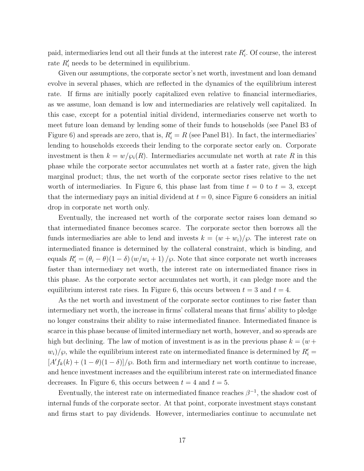paid, intermediaries lend out all their funds at the interest rate  $R_i'$ . Of course, the interest rate  $R_i'$  needs to be determined in equilibrium.

Given our assumptions, the corporate sector's net worth, investment and loan demand evolve in several phases, which are reflected in the dynamics of the equilibrium interest rate. If firms are initially poorly capitalized even relative to financial intermediaries, as we assume, loan demand is low and intermediaries are relatively well capitalized. In this case, except for a potential initial dividend, intermediaries conserve net worth to meet future loan demand by lending some of their funds to households (see Panel B3 of Figure 6) and spreads are zero, that is,  $R_i' = R$  (see Panel B1). In fact, the intermediaries' lending to households exceeds their lending to the corporate sector early on. Corporate investment is then  $k = w/\wp_i(R)$ . Intermediaries accumulate net worth at rate R in this phase while the corporate sector accumulates net worth at a faster rate, given the high marginal product; thus, the net worth of the corporate sector rises relative to the net worth of intermediaries. In Figure 6, this phase last from time  $t = 0$  to  $t = 3$ , except that the intermediary pays an initial dividend at  $t = 0$ , since Figure 6 considers an initial drop in corporate net worth only.

Eventually, the increased net worth of the corporate sector raises loan demand so that intermediated finance becomes scarce. The corporate sector then borrows all the funds intermediaries are able to lend and invests  $k = (w + w_i)/\wp$ . The interest rate on intermediated finance is determined by the collateral constraint, which is binding, and equals  $R_i' = (\theta_i - \theta)(1 - \delta)(w/w_i + 1) / \wp$ . Note that since corporate net worth increases faster than intermediary net worth, the interest rate on intermediated finance rises in this phase. As the corporate sector accumulates net worth, it can pledge more and the equilibrium interest rate rises. In Figure 6, this occurs between  $t = 3$  and  $t = 4$ .

As the net worth and investment of the corporate sector continues to rise faster than intermediary net worth, the increase in firms' collateral means that firms' ability to pledge no longer constrains their ability to raise intermediated finance. Intermediated finance is scarce in this phase because of limited intermediary net worth, however, and so spreads are high but declining. The law of motion of investment is as in the previous phase  $k = (w +$  $w_i$ / $\langle \varphi, \varphi \rangle$  while the equilibrium interest rate on intermediated finance is determined by  $R_i' =$  $[A' f_k(k) + (1 - \theta)(1 - \delta)]/\wp$ . Both firm and intermediary net worth continue to increase, and hence investment increases and the equilibrium interest rate on intermediated finance decreases. In Figure 6, this occurs between  $t = 4$  and  $t = 5$ .

Eventually, the interest rate on intermediated finance reaches  $\beta^{-1}$ , the shadow cost of internal funds of the corporate sector. At that point, corporate investment stays constant and firms start to pay dividends. However, intermediaries continue to accumulate net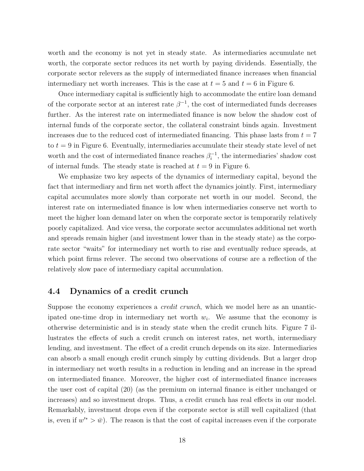worth and the economy is not yet in steady state. As intermediaries accumulate net worth, the corporate sector reduces its net worth by paying dividends. Essentially, the corporate sector relevers as the supply of intermediated finance increases when financial intermediary net worth increases. This is the case at  $t = 5$  and  $t = 6$  in Figure 6.

Once intermediary capital is sufficiently high to accommodate the entire loan demand of the corporate sector at an interest rate  $\beta^{-1}$ , the cost of intermediated funds decreases further. As the interest rate on intermediated finance is now below the shadow cost of internal funds of the corporate sector, the collateral constraint binds again. Investment increases due to the reduced cost of intermediated financing. This phase lasts from  $t = 7$ to  $t = 9$  in Figure 6. Eventually, intermediaries accumulate their steady state level of net worth and the cost of intermediated finance reaches  $\beta_i^{-1}$ , the intermediaries' shadow cost of internal funds. The steady state is reached at  $t = 9$  in Figure 6.

We emphasize two key aspects of the dynamics of intermediary capital, beyond the fact that intermediary and firm net worth affect the dynamics jointly. First, intermediary capital accumulates more slowly than corporate net worth in our model. Second, the interest rate on intermediated finance is low when intermediaries conserve net worth to meet the higher loan demand later on when the corporate sector is temporarily relatively poorly capitalized. And vice versa, the corporate sector accumulates additional net worth and spreads remain higher (and investment lower than in the steady state) as the corporate sector "waits" for intermediary net worth to rise and eventually reduce spreads, at which point firms relever. The second two observations of course are a reflection of the relatively slow pace of intermediary capital accumulation.

## **4.4 Dynamics of a credit crunch**

Suppose the economy experiences a *credit crunch*, which we model here as an unanticipated one-time drop in intermediary net worth  $w_i$ . We assume that the economy is otherwise deterministic and is in steady state when the credit crunch hits. Figure 7 illustrates the effects of such a credit crunch on interest rates, net worth, intermediary lending, and investment. The effect of a credit crunch depends on its size. Intermediaries can absorb a small enough credit crunch simply by cutting dividends. But a larger drop in intermediary net worth results in a reduction in lending and an increase in the spread on intermediated finance. Moreover, the higher cost of intermediated finance increases the user cost of capital (20) (as the premium on internal finance is either unchanged or increases) and so investment drops. Thus, a credit crunch has real effects in our model. Remarkably, investment drops even if the corporate sector is still well capitalized (that is, even if  $w^* > \bar{w}$ ). The reason is that the cost of capital increases even if the corporate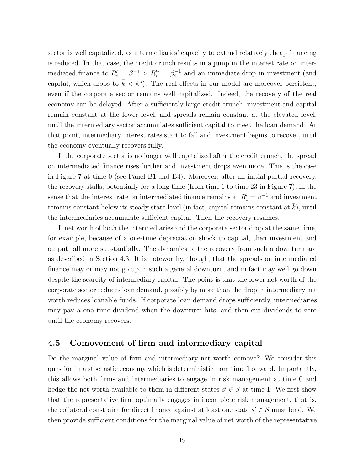sector is well capitalized, as intermediaries' capacity to extend relatively cheap financing is reduced. In that case, the credit crunch results in a jump in the interest rate on intermediated finance to  $R_i' = \beta^{-1} > R_i'^* = \beta_i^{-1}$  and an immediate drop in investment (and capital, which drops to  $\bar{k} < k^*$ ). The real effects in our model are moreover persistent, even if the corporate sector remains well capitalized. Indeed, the recovery of the real economy can be delayed. After a sufficiently large credit crunch, investment and capital remain constant at the lower level, and spreads remain constant at the elevated level, until the intermediary sector accumulates sufficient capital to meet the loan demand. At that point, intermediary interest rates start to fall and investment begins to recover, until the economy eventually recovers fully.

If the corporate sector is no longer well capitalized after the credit crunch, the spread on intermediated finance rises further and investment drops even more. This is the case in Figure 7 at time 0 (see Panel B1 and B4). Moreover, after an initial partial recovery, the recovery stalls, potentially for a long time (from time 1 to time 23 in Figure 7), in the sense that the interest rate on intermediated finance remains at  $R_i' = \beta^{-1}$  and investment remains constant below its steady state level (in fact, capital remains constant at  $\bar{k}$ ), until the intermediaries accumulate sufficient capital. Then the recovery resumes.

If net worth of both the intermediaries and the corporate sector drop at the same time, for example, because of a one-time depreciation shock to capital, then investment and output fall more substantially. The dynamics of the recovery from such a downturn are as described in Section 4.3. It is noteworthy, though, that the spreads on intermediated finance may or may not go up in such a general downturn, and in fact may well go down despite the scarcity of intermediary capital. The point is that the lower net worth of the corporate sector reduces loan demand, possibly by more than the drop in intermediary net worth reduces loanable funds. If corporate loan demand drops sufficiently, intermediaries may pay a one time dividend when the downturn hits, and then cut dividends to zero until the economy recovers.

## **4.5 Comovement of firm and intermediary capital**

Do the marginal value of firm and intermediary net worth comove? We consider this question in a stochastic economy which is deterministic from time 1 onward. Importantly, this allows both firms and intermediaries to engage in risk management at time 0 and hedge the net worth available to them in different states  $s' \in S$  at time 1. We first show that the representative firm optimally engages in incomplete risk management, that is, the collateral constraint for direct finance against at least one state  $s' \in S$  must bind. We then provide sufficient conditions for the marginal value of net worth of the representative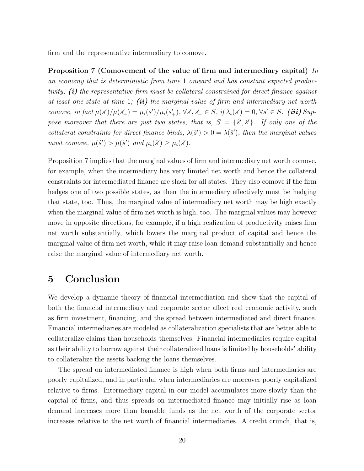firm and the representative intermediary to comove.

**Proposition 7 (Comovement of the value of firm and intermediary capital)** *In an economy that is deterministic from time* 1 *onward and has constant expected productivity, (i) the representative firm must be collateral constrained for direct finance against at least one state at time* 1*; (ii) the marginal value of firm and intermediary net worth* comove, in fact  $\mu(s')/\mu(s'_{+}) = \mu_i(s')/\mu_i(s'_{+}), \forall s', s'_{+} \in S, \text{ if } \lambda_i(s') = 0, \forall s' \in S.$  (iii) Sup*pose moreover that there are just two states, that is,*  $S = \{\hat{s}', \check{s}'\}$ . If only one of the *collateral constraints for direct finance binds,*  $\lambda(\check{s}') > 0 = \lambda(\hat{s}')$ , then the marginal values *must comove,*  $\mu(\hat{s}') > \mu(\check{s}')$  *and*  $\mu_i(\hat{s}') \geq \mu_i(\check{s}')$ *.* 

Proposition 7 implies that the marginal values of firm and intermediary net worth comove, for example, when the intermediary has very limited net worth and hence the collateral constraints for intermediated finance are slack for all states. They also comove if the firm hedges one of two possible states, as then the intermediary effectively must be hedging that state, too. Thus, the marginal value of intermediary net worth may be high exactly when the marginal value of firm net worth is high, too. The marginal values may however move in opposite directions, for example, if a high realization of productivity raises firm net worth substantially, which lowers the marginal product of capital and hence the marginal value of firm net worth, while it may raise loan demand substantially and hence raise the marginal value of intermediary net worth.

## **5 Conclusion**

We develop a dynamic theory of financial intermediation and show that the capital of both the financial intermediary and corporate sector affect real economic activity, such as firm investment, financing, and the spread between intermediated and direct finance. Financial intermediaries are modeled as collateralization specialists that are better able to collateralize claims than households themselves. Financial intermediaries require capital as their ability to borrow against their collateralized loans is limited by households' ability to collateralize the assets backing the loans themselves.

The spread on intermediated finance is high when both firms and intermediaries are poorly capitalized, and in particular when intermediaries are moreover poorly capitalized relative to firms. Intermediary capital in our model accumulates more slowly than the capital of firms, and thus spreads on intermediated finance may initially rise as loan demand increases more than loanable funds as the net worth of the corporate sector increases relative to the net worth of financial intermediaries. A credit crunch, that is,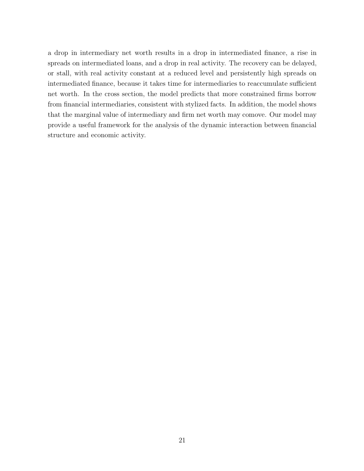a drop in intermediary net worth results in a drop in intermediated finance, a rise in spreads on intermediated loans, and a drop in real activity. The recovery can be delayed, or stall, with real activity constant at a reduced level and persistently high spreads on intermediated finance, because it takes time for intermediaries to reaccumulate sufficient net worth. In the cross section, the model predicts that more constrained firms borrow from financial intermediaries, consistent with stylized facts. In addition, the model shows that the marginal value of intermediary and firm net worth may comove. Our model may provide a useful framework for the analysis of the dynamic interaction between financial structure and economic activity.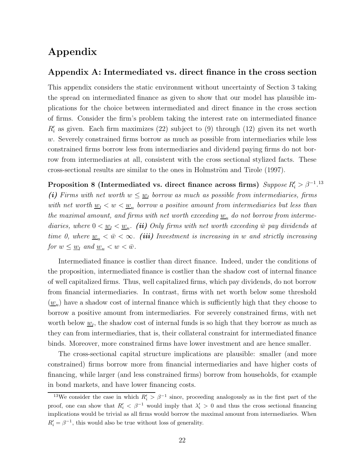## **Appendix**

## **Appendix A: Intermediated vs. direct finance in the cross section**

This appendix considers the static environment without uncertainty of Section 3 taking the spread on intermediated finance as given to show that our model has plausible implications for the choice between intermediated and direct finance in the cross section of firms. Consider the firm's problem taking the interest rate on intermediated finance  $R'_{i}$  as given. Each firm maximizes (22) subject to (9) through (12) given its net worth *w*. Severely constrained firms borrow as much as possible from intermediaries while less constrained firms borrow less from intermediaries and dividend paying firms do not borrow from intermediaries at all, consistent with the cross sectional stylized facts. These cross-sectional results are similar to the ones in Holmström and Tirole (1997).

**Proposition 8 (Intermediated vs. direct finance across firms)** *Suppose*  $R_i' > \beta^{-1}$ .<sup>13</sup> *(i) Firms with net worth*  $w \leq w_l$  *borrow as much as possible from intermediaries, firms with net worth*  $w_l < w < w_u$  *borrow a positive amount from intermediaries but less than the maximal amount, and firms with net worth exceeding*  $\underline{w}_u$  *do not borrow from intermediaries, where*  $0 < \underline{w}_l < \underline{w}_u$ . *(ii) Only firms with net worth exceeding*  $\overline{w}$  *pay dividends at time 0, where*  $w_u < \bar{w} < \infty$ *. (iii) Investment is increasing in w and strictly increasing for*  $w \leq w_l$  *and*  $w_u < w < \bar{w}$ *.* 

Intermediated finance is costlier than direct finance. Indeed, under the conditions of the proposition, intermediated finance is costlier than the shadow cost of internal finance of well capitalized firms. Thus, well capitalized firms, which pay dividends, do not borrow from financial intermediaries. In contrast, firms with net worth below some threshold  $(\underline{w}_u)$  have a shadow cost of internal finance which is sufficiently high that they choose to borrow a positive amount from intermediaries. For severely constrained firms, with net worth below  $\underline{w}_l$ , the shadow cost of internal funds is so high that they borrow as much as they can from intermediaries, that is, their collateral constraint for intermediated finance binds. Moreover, more constrained firms have lower investment and are hence smaller.

The cross-sectional capital structure implications are plausible: smaller (and more constrained) firms borrow more from financial intermediaries and have higher costs of financing, while larger (and less constrained firms) borrow from households, for example in bond markets, and have lower financing costs.

<sup>&</sup>lt;sup>13</sup>We consider the case in which  $R_i' > \beta^{-1}$  since, proceeding analogously as in the first part of the proof, one can show that  $R'_i < \beta^{-1}$  would imply that  $\lambda'_i > 0$  and thus the cross sectional financing implications would be trivial as all firms would borrow the maximal amount from intermediaries. When  $R_i' = \beta^{-1}$ , this would also be true without loss of generality.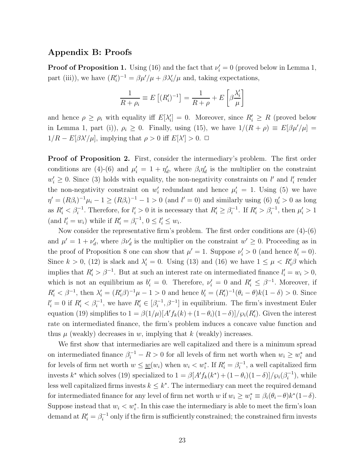## **Appendix B: Proofs**

**Proof of Proposition 1.** Using (16) and the fact that  $\nu_i' = 0$  (proved below in Lemma 1, part (iii)), we have  $(R'_i)^{-1} = \frac{\beta \mu'}{\mu} + \frac{\beta \lambda'_i}{\mu}$  and, taking expectations,

$$
\frac{1}{R+\rho_i} \equiv E\left[ (R_i')^{-1} \right] = \frac{1}{R+\rho} + E\left[ \beta \frac{\lambda_i'}{\mu} \right]
$$

and hence  $\rho \ge \rho_i$  with equality iff  $E[\lambda'_i] = 0$ . Moreover, since  $R'_i \ge R$  (proved below in Lemma 1, part (i)),  $\rho_i \geq 0$ . Finally, using (15), we have  $1/(R + \rho) \equiv E[\beta \mu'/\mu] =$  $1/R - E[\beta \lambda'/\mu]$ , implying that  $\rho > 0$  iff  $E[\lambda'] > 0$ .  $\Box$ 

**Proof of Proposition 2.** First, consider the intermediary's problem. The first order conditions are (4)-(6) and  $\mu'_i = 1 + \eta'_d$ , where  $\beta_i \eta'_d$  is the multiplier on the constraint  $w'_i \geq 0$ . Since (3) holds with equality, the non-negativity constraints on *l'* and *l*<sub>i</sub> render the non-negativity constraint on  $w_i'$  redundant and hence  $\mu'_i = 1$ . Using (5) we have  $\eta' = (R\beta_i)^{-1}\mu_i - 1 \ge (R\beta_i)^{-1} - 1 > 0$  (and  $l' = 0$ ) and similarly using (6)  $\eta'_i > 0$  as long as  $R'_i < \beta_i^{-1}$ . Therefore, for  $l'_i > 0$  it is necessary that  $R'_i \geq \beta_i^{-1}$ . If  $R'_i > \beta_i^{-1}$ , then  $\mu'_i > 1$  $(\text{and } l'_i = w_i)$  while if  $R'_i = \beta_i^{-1}, 0 \le l'_i \le w_i$ .

Now consider the representative firm's problem. The first order conditions are (4)-(6) and  $\mu' = 1 + \nu'_{d}$ , where  $\beta \nu'_{d}$  is the multiplier on the constraint  $w' \geq 0$ . Proceeding as in the proof of Proposition 8 one can show that  $\mu' = 1$ . Suppose  $\nu'_i > 0$  (and hence  $b'_i = 0$ ). Since  $k > 0$ , (12) is slack and  $\lambda'_i = 0$ . Using (13) and (16) we have  $1 \leq \mu < R'_i \beta$  which implies that  $R_i' > \beta^{-1}$ . But at such an interest rate on intermediated finance  $l_i' = w_i > 0$ , which is not an equilibrium as  $b'_i = 0$ . Therefore,  $\nu'_i = 0$  and  $R'_i \leq \beta^{-1}$ . Moreover, if  $R_i' < \beta^{-1}$ , then  $\lambda_i' = (R_i' \beta)^{-1} \mu - 1 > 0$  and hence  $b_i' = (R_i')^{-1} (\theta_i - \theta) k (1 - \delta) > 0$ . Since  $l'_i = 0$  if  $R'_i < \beta_i^{-1}$ , we have  $R'_i \in [\beta_i^{-1}, \beta^{-1}]$  in equilibrium. The firm's investment Euler equation (19) simplifies to  $1 = \beta(1/\mu)[A' f_k(k) + (1 - \theta_i)(1 - \delta)]/\wp_i(R'_i)$ . Given the interest rate on intermediated finance, the firm's problem induces a concave value function and thus  $\mu$  (weakly) decreases in  $w$ , implying that  $k$  (weakly) increases.

We first show that intermediaries are well capitalized and there is a minimum spread on intermediated finance  $\beta_i^{-1} - R > 0$  for all levels of firm net worth when  $w_i \geq w_i^*$  and for levels of firm net worth  $w \leq \underline{w}(w_i)$  when  $w_i < w_i^*$ . If  $R'_i = \beta_i^{-1}$ , a well capitalized firm invests  $k^*$  which solves (19) specialized to  $1 = \beta [A' f_k(k^*) + (1 - \theta_i)(1 - \delta)] / \wp_i(\beta_i^{-1})$ , while less well capitalized firms invests  $k \leq k^*$ . The intermediary can meet the required demand for intermediated finance for any level of firm net worth *w* if  $w_i \geq w_i^* \equiv \beta_i(\theta_i - \theta)k^*(1 - \delta)$ . Suppose instead that  $w_i < w_i^*$ . In this case the intermediary is able to meet the firm's loan demand at  $R_i' = \beta_i^{-1}$  only if the firm is sufficiently constrained; the constrained firm invests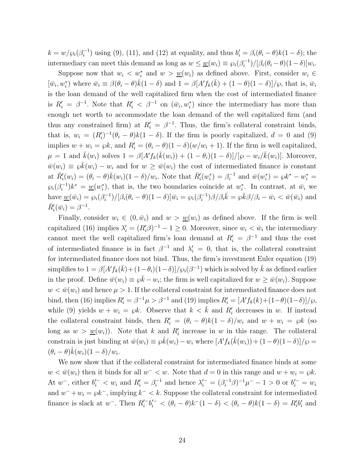$k = w/\wp_i(\beta_i^{-1})$  using (9), (11), and (12) at equality, and thus  $b_i' = \beta_i(\theta_i - \theta)k(1 - \delta)$ ; the intermediary can meet this demand as long as  $w \leq \underline{w}(w_i) \equiv \wp_i(\beta_i^{-1})/[\beta_i(\theta_i - \theta)(1 - \delta)]w_i$ .

Suppose now that  $w_i < w_i^*$  and  $w > w(w_i)$  as defined above. First, consider  $w_i \in$  $[\bar{w}_i, w_i^*]$  where  $\bar{w}_i \equiv \beta(\theta_i - \theta)\bar{k}(1 - \delta)$  and  $1 = \beta[A'f_k(\bar{k}) + (1 - \theta)(1 - \delta)]/\wp$ , that is,  $\bar{w}_i$ is the loan demand of the well capitalized firm when the cost of intermediated finance is  $R_i' = \beta^{-1}$ . Note that  $R_i' < \beta^{-1}$  on  $(\bar{w}_i, w_i^*)$  since the intermediary has more than enough net worth to accommodate the loan demand of the well capitalized firm (and thus any constrained firm) at  $R_i' = \beta^{-1}$ . Thus, the firm's collateral constraint binds, that is,  $w_i = (R'_i)^{-1}(\theta_i - \theta)k(1 - \delta)$ . If the firm is poorly capitalized,  $d = 0$  and (9) implies  $w + w_i = \wp k$ , and  $R'_i = (\theta_i - \theta)(1 - \delta)(w/w_i + 1)$ . If the firm is well capitalized,  $\mu = 1$  and  $\bar{k}(w_i)$  solves  $1 = \beta [A' f_k(\bar{k}(w_i)) + (1 - \theta_i)(1 - \delta)]/[\wp - w_i/\bar{k}(w_i)]$ . Moreover,  $\bar{w}(w_i) \equiv \wp \bar{k}(w_i) - w_i$  and for  $w \ge \bar{w}(w_i)$  the cost of intermediated finance is constant at  $\bar{R}'_i(w_i) = (\theta_i - \theta)\bar{k}(w_i)(1 - \delta)/w_i$ . Note that  $\bar{R}'_i(w_i^*) = \beta_i^{-1}$  and  $\bar{w}(w_i^*) = \wp k^* - w_i^* =$  $\wp_i(\beta_i^{-1})k^* = \underline{w}(w_i^*),$  that is, the two boundaries coincide at  $w_i^*$ . In contrast, at  $\bar{w}_i$  we have  $\underline{w}(\bar{w}_i) = \varphi_i(\beta_i^{-1})/[\beta_i(\theta_i - \theta)(1 - \delta)]\bar{w}_i = \varphi_i(\beta_i^{-1})\beta/\beta_i\bar{k} = \varphi\bar{k}\beta/\beta_i - \bar{w}_i < \bar{w}(\bar{w}_i)$  and  $\bar{R}'_i(\bar{w}_i) = \beta^{-1}.$ 

Finally, consider  $w_i \in (0, \bar{w}_i)$  and  $w > w(w_i)$  as defined above. If the firm is well capitalized (16) implies  $\lambda'_i = (R'_i \beta)^{-1} - 1 \geq 0$ . Moreover, since  $w_i < \bar{w}_i$  the intermediary cannot meet the well capitalized firm's loan demand at  $R_i' = \beta^{-1}$  and thus the cost of intermediated finance is in fact  $\beta^{-1}$  and  $\lambda_i' = 0$ , that is, the collateral constraint for intermediated finance does not bind. Thus, the firm's investment Euler equation (19)  $\sin\phi$  is implifies to  $1 = \beta[A' f_k(\bar{k}) + (1 - \theta_i)(1 - \delta)]/\wp_i(\beta^{-1})$  which is solved by  $\bar{k}$  as defined earlier in the proof. Define  $\bar{w}(w_i) \equiv \wp \bar{k} - w_i$ ; the firm is well capitalized for  $w \ge \bar{w}(w_i)$ . Suppose  $w < \bar{w}(w_i)$  and hence  $\mu > 1$ . If the collateral constraint for intermediated finance does not bind, then (16) implies  $R_i' = \beta^{-1}\mu > \beta^{-1}$  and (19) implies  $R_i' = [A' f_k(k) + (1-\theta)(1-\delta)]/\wp$ , while (9) yields  $w + w_i = \wp k$ . Observe that  $k < \bar{k}$  and  $R'_i$  decreases in *w*. If instead the collateral constraint binds, then  $R_i' = (\theta_i - \theta)k(1 - \delta)/w_i$  and  $w + w_i = \wp k$  (so long as  $w > w(w_i)$ ). Note that *k* and  $R'_i$  increase in *w* in this range. The collateral constrain is just binding at  $\hat{w}(w_i) \equiv \hat{\delta}(w_i) - w_i$  where  $[A' f_k(\hat{k}(w_i)) + (1 - \theta)(1 - \delta)]/\wp =$  $(\theta_i - \theta)\hat{k}(w_i)(1 - \delta)/w_i.$ 

We now show that if the collateral constraint for intermediated finance binds at some  $w < \bar{w}(w_i)$  then it binds for all  $w^- < w$ . Note that  $d = 0$  in this range and  $w + w_i = \wp k$ . At  $w^-$ , either  $b_i' - < w_i$  and  $R_i' = \beta_i^{-1}$  and hence  $\lambda_i' = (\beta_i^{-1}\beta)^{-1}\mu^- - 1 > 0$  or  $b_i' = w_i$ and  $w^- + w_i = \wp k^-$ , implying  $k^- < k$ . Suppose the collateral constraint for intermediated finance is slack at *w*<sup>−</sup>. Then  $R_i'^{-}b_i'^{-} < (\theta_i - \theta)k^-(1 - \delta) < (\theta_i - \theta)k(1 - \delta) = R_i'b_i'$  and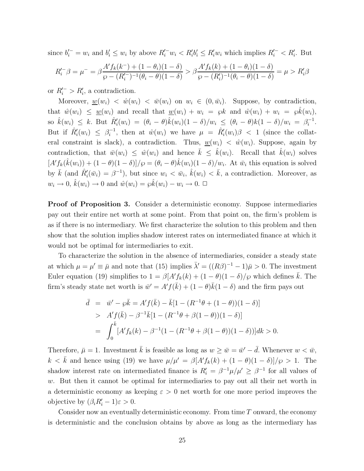since  $b_i^{\prime -} = w_i$  and  $b_i^{\prime} \leq w_i$  by above  $R_i^{\prime -} w_i < R_i^{\prime} b_i^{\prime} \leq R_i^{\prime} w_i$  which implies  $R_i^{\prime -} < R_i^{\prime}$ . But

$$
R_i^{\prime -} \beta = \mu^- = \beta \frac{A' f_k(k^-) + (1 - \theta_i)(1 - \delta)}{\wp - (R_i^{\prime -})^{-1}(\theta_i - \theta)(1 - \delta)} > \beta \frac{A' f_k(k) + (1 - \theta_i)(1 - \delta)}{\wp - (R_i^{\prime})^{-1}(\theta_i - \theta)(1 - \delta)} = \mu > R_i^{\prime} \beta
$$

or  $R_i' > R_i'$ , a contradiction.

Moreover,  $w(w_i) < \hat{w}(w_i) < \overline{w}(w_i)$  on  $w_i \in (0, \overline{w}_i)$ . Suppose, by contradiction, that  $\hat{w}(w_i) \leq \underline{w}(w_i)$  and recall that  $\underline{w}(w_i) + w_i = \wp k$  and  $\hat{w}(w_i) + w_i = \wp \hat{k}(w_i)$ ,  $\int \hat{k}(w_i) \leq k$ . But  $\hat{R}'_i(w_i) = (\theta_i - \theta)\hat{k}(w_i)(1 - \delta)/w_i \leq (\theta_i - \theta)k(1 - \delta)/w_i = \beta_i^{-1}$ . But if  $\hat{R}'_i(w_i) \leq \beta_i^{-1}$ , then at  $\hat{w}(w_i)$  we have  $\mu = \hat{R}'_i(w_i)\beta < 1$  (since the collateral constraint is slack), a contradiction. Thus,  $w(w_i) < \hat{w}(w_i)$ . Suppose, again by contradiction, that  $\bar{w}(w_i) \leq \hat{w}(w_i)$  and hence  $\bar{k} \leq \hat{k}(w_i)$ . Recall that  $\hat{k}(w_i)$  solves  $[A' f_k(\hat{k}(w_i)) + (1 - \theta)(1 - \delta)]/\wp = (\theta_i - \theta)\hat{k}(w_i)(1 - \delta)/w_i$ . At  $\bar{w}_i$  this equation is solved by  $\bar{k}$  (and  $\hat{R}'_i(\bar{w}_i) = \beta^{-1}$ ), but since  $w_i < \bar{w}_i$ ,  $\hat{k}(w_i) < \bar{k}$ , a contradiction. Moreover, as  $w_i \to 0$ ,  $\hat{k}(w_i) \to 0$  and  $\hat{w}(w_i) = \wp \hat{k}(w_i) - w_i \to 0$ .  $\Box$ 

**Proof of Proposition 3.** Consider a deterministic economy. Suppose intermediaries pay out their entire net worth at some point. From that point on, the firm's problem is as if there is no intermediary. We first characterize the solution to this problem and then show that the solution implies shadow interest rates on intermediated finance at which it would not be optimal for intermediaries to exit.

To characterize the solution in the absence of intermediaries, consider a steady state at which  $\mu = \mu' \equiv \bar{\mu}$  and note that (15) implies  $\bar{\lambda}' = ((R\beta)^{-1} - 1)\bar{\mu} > 0$ . The investment Euler equation (19) simplifies to  $1 = \beta[A' f_k(k) + (1 - \theta)(1 - \delta)/\wp$  which defines  $\bar{k}$ . The firm's steady state net worth is  $\bar{w}' = A' f(\bar{k}) + (1 - \theta)\bar{k}(1 - \delta)$  and the firm pays out

$$
\bar{d} = \bar{w}' - \wp \bar{k} = A' f(\bar{k}) - \bar{k} [1 - (R^{-1}\theta + (1 - \theta))(1 - \delta)]
$$
  
> 
$$
A' f(\bar{k}) - \beta^{-1} \bar{k} [1 - (R^{-1}\theta + \beta(1 - \theta))(1 - \delta)]
$$
  
= 
$$
\int_0^{\bar{k}} [A' f_k(k) - \beta^{-1} (1 - (R^{-1}\theta + \beta(1 - \theta))(1 - \delta))] dk > 0.
$$

Therefore,  $\bar{\mu} = 1$ . Investment  $\bar{k}$  is feasible as long as  $w \ge \bar{w} = \bar{w}' - \bar{d}$ . Whenever  $w < \bar{w}$ ,  $k < \bar{k}$  and hence using (19) we have  $\mu/\mu' = \beta[A' f_k(k) + (1 - \theta)(1 - \delta)]/\wp > 1$ . The shadow interest rate on intermediated finance is  $R_i' = \frac{\beta^{-1}\mu}{\mu'} \geq \frac{\beta^{-1}}{\beta}$  for all values of *w*. But then it cannot be optimal for intermediaries to pay out all their net worth in a deterministic economy as keeping  $\varepsilon > 0$  net worth for one more period improves the objective by  $(\beta_i R'_i - 1)\varepsilon > 0$ .

Consider now an eventually deterministic economy. From time *T* onward, the economy is deterministic and the conclusion obtains by above as long as the intermediary has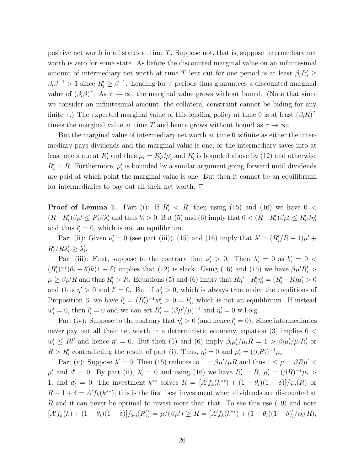positive net worth in all states at time *T*. Suppose not, that is, suppose intermediary net worth is zero for some state. As before the discounted marginal value on an infinitesimal amount of intermediary net worth at time *T* lent out for one period is at least  $\beta_i R'_i \geq$  $\beta_i \beta^{-1} > 1$  since  $R'_i \geq \beta^{-1}$ . Lending for  $\tau$  periods thus guarantees a discounted marginal value of  $(\beta_i \beta)^{\tau}$ . As  $\tau \to \infty$ , the marginal value grows without bound. (Note that since we consider an infinitesimal amount, the collateral constraint cannot be biding for any finite  $\tau$ .) The expected marginal value of this lending policy at time 0 is at least  $(\beta_i R)^T$ times the marginal value at time *T* and hence grows without bound as  $\tau \to \infty$ *.* 

But the marginal value of intermediary net worth at time 0 is finite as either the intermediary pays dividends and the marginal value is one, or the intermediary saves into at least one state at  $R'_i$  and thus  $\mu_i = R'_i \beta \mu'_i$  and  $R'_i$  is bounded above by (12) and otherwise  $R_i' = R$ . Furthermore,  $\mu_i'$  is bounded by a similar argument going forward until dividends are paid at which point the marginal value is one. But then it cannot be an equilibrium for intermediaries to pay out all their net worth.  $\Box$ 

**Proof of Lemma 1.** Part (i): If  $R'_i < R$ , then using (15) and (16) we have  $0 <$  $(R - R'_i)\beta\mu' \leq R'_i\beta\lambda'_i$  and thus  $b'_i > 0$ . But (5) and (6) imply that  $0 < (R - R'_i)\beta\mu'_i \leq R'_i\beta\eta'_i$ and thus  $l_i' = 0$ , which is not an equilibrium.

Part (ii): Given  $\nu'_{i} = 0$  (see part (iii)), (15) and (16) imply that  $\lambda' = (R'_{i}/R - 1)\mu' +$  $R'_i/R\lambda'_i \geq \lambda'_i.$ 

Part (iii): First, suppose to the contrary that  $\nu'_i > 0$ . Then  $\lambda'_i = 0$  as  $b'_i = 0$  $(R_i')^{-1}(\theta_i - \theta)k(1 - \delta)$  implies that (12) is slack. Using (16) and (15) we have  $\beta \mu' R_i'$  $\mu \ge \beta \mu' R$  and thus  $R_i' > R$ . Equations (5) and (6) imply that  $R\eta' - R_i' \eta_i' = (R_i' - R)\mu_i' > 0$ and thus  $\eta' > 0$  and  $l' = 0$ . But if  $w'_i > 0$ , which is always true under the conditions of Proposition 3, we have  $l'_{i} = (R'_{i})^{-1}w'_{i} > 0 = b'_{i}$ , which is not an equilibrium. If instead  $w'_{i} = 0$ , then  $l'_{i} = 0$  and we can set  $R'_{i} = (\beta \mu'/\mu)^{-1}$  and  $\eta'_{i} = 0$  w.l.o.g.

Part (iv): Suppose to the contrary that  $\eta_i' > 0$  (and hence  $l_i' = 0$ ). Since intermediaries never pay out all their net worth in a deterministic economy, equation (3) implies 0 *<*  $w'_i \leq R l'$  and hence  $\eta' = 0$ . But then (5) and (6) imply  $\beta_i \mu'_i / \mu_i R = 1 > \beta_i \mu'_i / \mu_i R'_i$  or  $R > R'_i$  contradicting the result of part (i). Thus,  $\eta'_i = 0$  and  $\mu'_i = (\beta_i R'_i)^{-1} \mu_i$ .

Part (v): Suppose  $\lambda' = 0$ . Then (15) reduces to  $1 = \frac{\beta \mu'}{\mu R}$  and thus  $1 \leq \mu = \beta R \mu' <$  $\mu'$  and  $d' = 0$ . By part (ii),  $\lambda'_{i} = 0$  and using (16) we have  $R'_{i} = R$ ,  $\mu'_{i} = (\beta R)^{-1} \mu_{i} >$ 1, and  $d'_i = 0$ . The investment  $k^{**}$  solves  $R = [A' f_k(k^{**}) + (1 - \theta_i)(1 - \delta)]/\wp_i(R)$  or  $R-1+\delta = A' f_k(k^{**})$ ; this is the first best investment when dividends are discounted at *R* and it can never be optimal to invest more than that. To see this use (19) and note  $[A' f_k(k) + (1 - \theta_i)(1 - \delta)]/\wp_i(R'_i) = \mu/(\beta \mu') \ge R = [A' f_k(k^{**}) + (1 - \theta_i)(1 - \delta)]/\wp_i(R)$ ,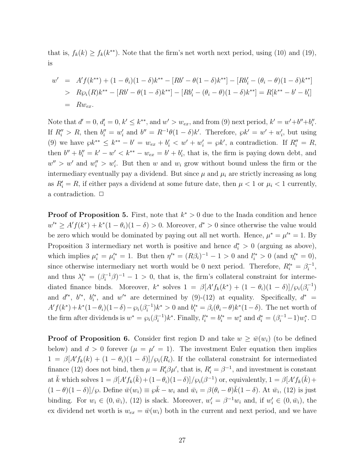that is,  $f_k(k) \ge f_k(k^{**})$ . Note that the firm's net worth next period, using (10) and (19), is

$$
w' = A' f(k^{**}) + (1 - \theta_i)(1 - \delta)k^{**} - [Rb' - \theta(1 - \delta)k^{**}] - [Rb'_i - (\theta_i - \theta)(1 - \delta)k^{**}]
$$
  
>  $R\wp_i(R)k^{**} - [Rb' - \theta(1 - \delta)k^{**}] - [Rb'_i - (\theta_i - \theta)(1 - \delta)k^{**}] = R[k^{**} - b' - b'_i]$   
=  $Rw_{ex}$ .

Note that  $d' = 0$ ,  $d'_{i} = 0$ ,  $k' \leq k^{**}$ , and  $w' > w_{ex}$ , and from (9) next period,  $k' = w' + b'' + b''_{i}$ . If  $R_i'' > R$ , then  $b_i'' = w_i'$  and  $b'' = R^{-1}\theta(1-\delta)k'$ . Therefore,  $\wp k' = w' + w_i'$ , but using (9) we have  $\wp k^{**} \leq k^{**} - b' = w_{ex} + b'_i < w' + w'_i = \wp k'$ , a contradiction. If  $R''_i = R$ , then  $b'' + b''_i = k' - w' < k^{**} - w_{ex} = b' + b'_i$ , that is, the firm is paying down debt, and  $w'' > w'$  and  $w''_i > w'_i$ . But then *w* and  $w_i$  grow without bound unless the firm or the intermediary eventually pay a dividend. But since  $\mu$  and  $\mu_i$  are strictly increasing as long as  $R_i' = R$ , if either pays a dividend at some future date, then  $\mu < 1$  or  $\mu_i < 1$  currently, a contradiction.  $\Box$ 

**Proof of Proposition 5.** First, note that *k*<sup>∗</sup> *>* 0 due to the Inada condition and hence  $w'^{*} \geq A' f(k^{*}) + k^{*} (1 - \theta_i) (1 - \delta) > 0$ . Moreover,  $d^{*} > 0$  since otherwise the value would be zero which would be dominated by paying out all net worth. Hence,  $\mu^* = \mu^{k} = 1$ . By Proposition 3 intermediary net worth is positive and hence  $d_i^* > 0$  (arguing as above), which implies  $\mu_i^* = \mu_i^{\prime *} = 1$ . But then  $\eta^{\prime *} = (R\beta_i)^{-1} - 1 > 0$  and  $l_i^{\prime *} > 0$  (and  $\eta_i^{\prime *} = 0$ ), since otherwise intermediary net worth would be 0 next period. Therefore,  $R_i^* = \beta_i^{-1}$ , and thus  $\lambda_i^{\prime*} = (\beta_i^{-1}\beta)^{-1} - 1 > 0$ , that is, the firm's collateral constraint for intermediated finance binds. Moreover,  $k^*$  solves  $1 = \beta [A' f_k(k^*) + (1 - \theta_i)(1 - \delta)]/\wp_i(\beta_i^{-1})$ and  $d^*$ ,  $b^*$ ,  $b_i^*$ , and  $w^*$  are determined by (9)-(12) at equality. Specifically,  $d^*$  =  $A'f(k^*) + k^*(1 - \theta_i)(1 - \delta) - \wp_i(\beta_i^{-1})k^* > 0$  and  $b_i^* = \beta_i(\theta_i - \theta)k^*(1 - \delta)$ . The net worth of the firm after dividends is  $w^* = \wp_i(\beta_i^{-1})k^*$ . Finally,  $l_i^* = b_i^* = w_i^*$  and  $d_i^* = (\beta_i^{-1} - 1)w_i^*$ .  $\Box$ 

**Proof of Proposition 6.** Consider first region D and take  $w \geq \bar{w}(w_i)$  (to be defined below) and  $d > 0$  forever  $(\mu = \mu' = 1)$ . The investment Euler equation then implies  $1 = \beta [A' f_k(k) + (1 - \theta_i)(1 - \delta)]/\wp_i(R_i)$ . If the collateral constraint for intermediated finance (12) does not bind, then  $\mu = R_i' \beta \mu'$ , that is,  $R_i' = \beta^{-1}$ , and investment is constant at  $\bar{k}$  which solves  $1 = \beta [A' f_k(\bar{k}) + (1 - \theta_i)(1 - \delta)]/\wp_i(\beta^{-1})$  or, equivalently,  $1 = \beta [A' f_k(\bar{k}) +$  $(1 - \theta)(1 - \delta)/\wp$ . Define  $\bar{w}(w_i) \equiv \wp \bar{k} - w_i$  and  $\bar{w}_i = \beta(\theta_i - \theta)\bar{k}(1 - \delta)$ . At  $\bar{w}_i$ , (12) is just binding. For  $w_i \in (0, \bar{w}_i)$ , (12) is slack. Moreover,  $w'_i = \beta^{-1}w_i$  and, if  $w'_i \in (0, \bar{w}_i)$ , the ex dividend net worth is  $w_{ex} = \bar{w}(w_i)$  both in the current and next period, and we have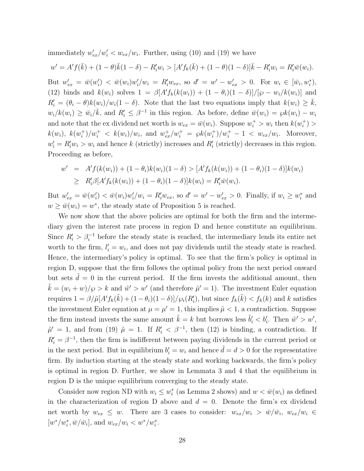immediately  $w'_{ex}/w'_{i} < w_{ex}/w_{i}$ . Further, using (10) and (19) we have

$$
w' = A'f(\bar{k}) + (1 - \theta)\bar{k}(1 - \delta) - R'_i w_i > [A'f_k(\bar{k}) + (1 - \theta)(1 - \delta)]\bar{k} - R'_i w_i = R'_i \bar{w}(w_i).
$$

But  $w'_{ex} = \bar{w}(w'_i) < \bar{w}(w_i)w'_i/w_i = R'_iw_{ex},$  so  $d' = w' - w'_{ex} > 0$ . For  $w_i \in [\bar{w}_i, w_i^*),$ (12) binds and  $k(w_i)$  solves  $1 = \beta [A' f_k(k(w_i)) + (1 - \theta_i)(1 - \delta)]/[\wp - w_i/k(w_i)]$  and  $R_i' = (\theta_i - \theta)k(w_i)/w_i(1 - \delta)$ . Note that the last two equations imply that  $k(w_i) \geq \overline{k}$ ,  $w_i/k(w_i) \ge \bar{w}_i/\bar{k}$ , and  $R_i' \le \beta^{-1}$  in this region. As before, define  $\bar{w}(w_i) = \wp k(w_i) - w_i$ and note that the ex dividend net worth is  $w_{ex} = \bar{w}(w_i)$ . Suppose  $w_i^+ > w_i$  then  $k(w_i^+) >$  $k(w_i)$ ,  $k(w_i^+) / w_i^+ < k(w_i) / w_i$ , and  $w_{ex}^+ / w_i^+ = \wp k(w_i^+) / w_i^+ - 1 < w_{ex} / w_i$ . Moreover,  $w_i' = R_i' w_i > w_i$  and hence *k* (strictly) increases and  $R_i'$  (strictly) decreases in this region. Proceeding as before,

$$
w' = A' f(k(w_i)) + (1 - \theta_i) k(w_i) (1 - \delta) > [A' f_k(k(w_i)) + (1 - \theta_i) (1 - \delta)] k(w_i)
$$
  
\n
$$
\geq R'_i \beta [A' f_k(k(w_i)) + (1 - \theta_i) (1 - \delta)] k(w_i) = R'_i \bar{w}(w_i).
$$

But  $w'_{ex} = \bar{w}(w'_i) < \bar{w}(w_i)w'_i/w_i = R'_iw_{ex}$ , so  $d' = w' - w'_{ex} > 0$ . Finally, if  $w_i \geq w_i^*$  and  $w \geq \bar{w}(w_i) = w^*$ , the steady state of Proposition 5 is reached.

We now show that the above policies are optimal for both the firm and the intermediary given the interest rate process in region D and hence constitute an equilibrium. Since  $R_i' > \beta_i^{-1}$  before the steady state is reached, the intermediary lends its entire net worth to the firm,  $l'_i = w_i$ , and does not pay dividends until the steady state is reached. Hence, the intermediary's policy is optimal. To see that the firm's policy is optimal in region D, suppose that the firm follows the optimal policy from the next period onward but sets  $\tilde{d} = 0$  in the current period. If the firm invests the additional amount, then  $\tilde{k} = (w_i + w)/\wp > k$  and  $\tilde{w}' > w'$  (and therefore  $\tilde{\mu}' = 1$ ). The investment Euler equation requires  $1 = \beta / \tilde{\mu}[A' f_k(\tilde{k}) + (1 - \theta_i)(1 - \delta)] / \varphi_i(R'_i)$ , but since  $f_k(\tilde{k}) < f_k(k)$  and  $k$  satisfies the investment Euler equation at  $\mu = \mu' = 1$ , this implies  $\tilde{\mu} < 1$ , a contradiction. Suppose the firm instead invests the same amount  $\tilde{k} = k$  but borrows less  $\tilde{b}'_i < b'_i$ . Then  $\tilde{w}' > w'$ ,  $\tilde{\mu}' = 1$ , and from (19)  $\tilde{\mu} = 1$ . If  $R'_i < \beta^{-1}$ , then (12) is binding, a contradiction. If  $R_i' = \beta^{-1}$ , then the firm is indifferent between paying dividends in the current period or in the next period. But in equilibrium  $b_i' = w_i$  and hence  $\tilde{d} = d > 0$  for the representative firm. By induction starting at the steady state and working backwards, the firm's policy is optimal in region D. Further, we show in Lemmata 3 and 4 that the equilibrium in region D is the unique equilibrium converging to the steady state.

Consider now region ND with  $w_i \leq w_i^*$  (as Lemma 2 shows) and  $w < \bar{w}(w_i)$  as defined in the characterization of region D above and  $d = 0$ . Denote the firm's ex dividend net worth by  $w_{ex} \leq w$ . There are 3 cases to consider:  $w_{ex}/w_i > \bar{w}/\bar{w}_i$ ,  $w_{ex}/w_i \in$  $[w^*/w_i^*, \bar{w}/\bar{w}_i]$ , and  $w_{ex}/w_i < w^*/w_i^*$ .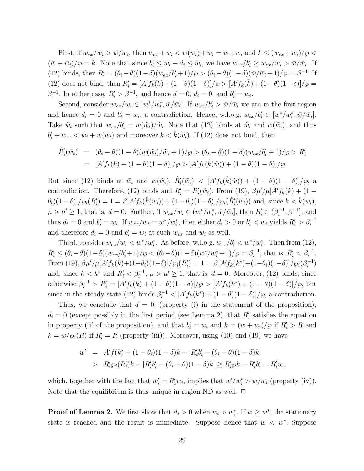First, if  $w_{ex}/w_i > \bar{w}/\bar{w}_i$ , then  $w_{ex} + w_i < \bar{w}(w_i) + w_i = \bar{w} + \bar{w}_i$  and  $k \leq (w_{ex} + w_i)/\wp <$  $(\bar{w} + \bar{w}_i)/\wp = \bar{k}$ . Note that since  $b'_i \leq w_i - d_i \leq w_i$ , we have  $w_{ex}/b'_i \geq w_{ex}/w_i > \bar{w}/\bar{w}_i$ . If (12) binds, then  $R_i' = (\theta_i - \theta)(1 - \delta)(w_{ex}/b_i' + 1)/\wp > (\theta_i - \theta)(1 - \delta)(\bar{w}/\bar{w}_i + 1)/\wp = \beta^{-1}$ . If  $(12)$  does not bind, then  $R'_i = [A' f_k(k) + (1 - \theta)(1 - \delta)]/\wp > [A' f_k(\bar{k}) + (1 - \theta)(1 - \delta)]/\wp =$ *β*<sup>−1</sup>. In either case,  $R_i' > \beta^{-1}$ , and hence  $d = 0$ ,  $d_i = 0$ , and  $b_i' = w_i$ .

Second, consider  $w_{ex}/w_i \in [w^*/w_i^*, \bar{w}/\bar{w}_i]$ . If  $w_{ex}/b_i' > \bar{w}/\bar{w}_i$  we are in the first region and hence  $d_i = 0$  and  $b'_i = w_i$ , a contradiction. Hence, w.l.o.g.  $w_{ex}/b'_i \in [w^*/w_i^*, \bar{w}/\bar{w}_i]$ . Take  $\tilde{w}_i$  such that  $w_{ex}/b'_i = \bar{w}(\tilde{w}_i)/\tilde{w}_i$ . Note that (12) binds at  $\tilde{w}_i$  and  $\bar{w}(\tilde{w}_i)$ , and thus  $b'_i + w_{ex} < \tilde{w}_i + \bar{w}(\tilde{w}_i)$  and moreover  $k < \hat{k}(\tilde{w}_i)$ . If (12) does not bind, then

$$
\hat{R}'_i(\tilde{w}_i) = (\theta_i - \theta)(1 - \delta)(\bar{w}(\tilde{w}_i)/\tilde{w}_i + 1)/\wp > (\theta_i - \theta)(1 - \delta)(w_{ex}/b'_i + 1)/\wp > R'_i
$$
  
=  $[A'f_k(k) + (1 - \theta)(1 - \delta)]/\wp > [A'f_k(\hat{k}(\tilde{w})) + (1 - \theta)(1 - \delta)]/\wp.$ 

But since (12) binds at  $\tilde{w}_i$  and  $\bar{w}(\tilde{w}_i)$ ,  $\hat{R}'_i(\tilde{w}_i) < [A'f_k(\hat{k}(\tilde{w})) + (1 - \theta)(1 - \delta)]/\wp$ , a contradiction. Therefore, (12) binds and  $R'_i = \hat{R}'_i(\tilde{w}_i)$ . From (19),  $\beta \mu'/\mu[A'f_k(k) + (1 \theta_i$ (1 – *δ*)]/ $\wp_i(R'_i) = 1 = \beta[A' f_k(\hat{k}(\tilde{w}_i)) + (1 - \theta_i)(1 - \delta)]/\wp_i(\hat{R}'_i(\tilde{w}_i))$  and, since  $k < \hat{k}(\tilde{w}_i)$ ,  $\mu > \mu' \geq 1$ , that is,  $d = 0$ . Further, if  $w_{ex}/w_i \in (w^*/w_i^*, \bar{w}/\bar{w}_i]$ , then  $R'_i \in (\beta_i^{-1}, \beta^{-1}]$ , and thus  $d_i = 0$  and  $b'_i = w_i$ . If  $w_{ex}/w_i = w^*/w_i^*$ , then either  $d_i > 0$  or  $b'_i < w_i$  yields  $R'_i > \beta_i^{-1}$ and therefore  $d_i = 0$  and  $b'_i = w_i$  at such  $w_{ex}$  and  $w_i$  as well.

Third, consider  $w_{ex}/w_i < w^*/w_i^*$ . As before, w.l.o.g.  $w_{ex}/b_i' < w^*/w_i^*$ . Then from (12),  $R'_i \leq (\theta_i - \theta)(1 - \delta)(w_{ex}/b'_i + 1)/\wp < (\theta_i - \theta)(1 - \delta)(w^*/w_i^* + 1)/\wp = \beta_i^{-1}$ , that is,  $R'_i < \beta_i^{-1}$ .  $\text{From (19), } \beta \mu'/\mu[A' f_k(k) + (1 - \theta_i)(1 - \delta)]/\wp_i(R'_i) = 1 = \beta[A' f_k(k^*) + (1 - \theta_i)(1 - \delta)]/\wp_i(\beta_i^{-1})$ and, since  $k < k^*$  and  $R'_i < \beta_i^{-1}$ ,  $\mu > \mu' \ge 1$ , that is,  $d = 0$ . Moreover, (12) binds, since otherwise  $\beta_i^{-1} > R'_i = [A' f_k(k) + (1 - \theta)(1 - \delta)]/\wp > [A' f_k(k^*) + (1 - \theta)(1 - \delta)]/\wp$ , but since in the steady state (12) binds  $\beta_i^{-1} < [A' f_k(k^*) + (1 - \theta)(1 - \delta)]/\wp$ , a contradiction.

Thus, we conclude that  $d = 0$ , (property (i) in the statement of the proposition),  $d_i = 0$  (except possibly in the first period (see Lemma 2), that  $R'_i$  satisfies the equation in property (ii) of the proposition), and that  $b_i' = w_i$  and  $k = (w + w_i)/\wp$  if  $R_i' > R$  and  $k = w/\wp_i(R)$  if  $R'_i = R$  (property (iii)). Moreover, using (10) and (19) we have

$$
w' = A'f(k) + (1 - \theta_i)(1 - \delta)k - [R'_i b'_i - (\theta_i - \theta)(1 - \delta)k]
$$
  
>  $R'_i \wp_i (R'_i)k - [R'_i b'_i - (\theta_i - \theta)(1 - \delta)k] \ge R'_i \wp k - R'_i b'_i = R'_i w$ ,

which, together with the fact that  $w'_i = R'_i w_i$ , implies that  $w'/w'_i > w/w_i$  (property (iv)). Note that the equilibrium is thus unique in region ND as well.  $\Box$ 

**Proof of Lemma 2.** We first show that  $d_i > 0$  when  $w_i > w_i^*$ . If  $w \geq w^*$ , the stationary state is reached and the result is immediate. Suppose hence that  $w < w^*$ . Suppose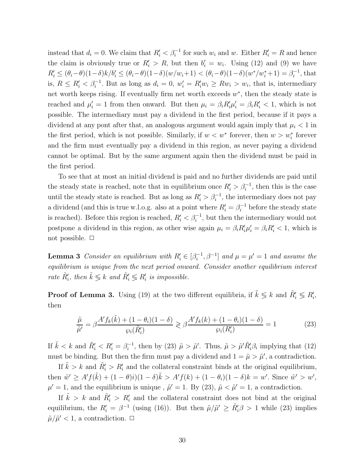instead that  $d_i = 0$ . We claim that  $R'_i < \beta_i^{-1}$  for such  $w_i$  and  $w$ . Either  $R'_i = R$  and hence the claim is obviously true or  $R'_i > R$ , but then  $b'_i = w_i$ . Using (12) and (9) we have  $R'_i \leq (\theta_i - \theta)(1 - \delta)k/b'_i \leq (\theta_i - \theta)(1 - \delta)(w/w_i + 1) < (\theta_i - \theta)(1 - \delta)(w^*/w_i^* + 1) = \beta_i^{-1}$ , that is,  $R \leq R'_i < \beta_i^{-1}$ . But as long as  $d_i = 0$ ,  $w'_i = R'_i w_i \geq R w_i > w_i$ , that is, intermediary net worth keeps rising. If eventually firm net worth exceeds *w*<sup>∗</sup>, then the steady state is reached and  $\mu'_i = 1$  from then onward. But then  $\mu_i = \beta_i R'_i \mu'_i = \beta_i R'_i < 1$ , which is not possible. The intermediary must pay a dividend in the first period, because if it pays a dividend at any pont after that, an analogous argument would again imply that  $\mu_i < 1$  in the first period, which is not possible. Similarly, if  $w < w^*$  forever, then  $w > w_i^*$  forever and the firm must eventually pay a dividend in this region, as never paying a dividend cannot be optimal. But by the same argument again then the dividend must be paid in the first period.

To see that at most an initial dividend is paid and no further dividends are paid until the steady state is reached, note that in equilibrium once  $R_i' > \beta_i^{-1}$ , then this is the case until the steady state is reached. But as long as  $R_i' > \beta_i^{-1}$ , the intermediary does not pay a dividend (and this is true w.l.o.g. also at a point where  $R_i' = \beta_i^{-1}$  before the steady state is reached). Before this region is reached,  $R_i' < \beta_i^{-1}$ , but then the intermediary would not postpone a dividend in this region, as other wise again  $\mu_i = \beta_i R'_i \mu'_i = \beta_i R'_i < 1$ , which is not possible.  $\Box$ 

**Lemma 3** *Consider an equilibrium with*  $R'_i \in [\beta_i^{-1}, \beta^{-1}]$  *and*  $\mu = \mu' = 1$  *and assume the equilibrium is unique from the next period onward. Consider another equilibrium interest rate*  $\tilde{R}'_i$ , then  $\tilde{k} \leq k$  *and*  $\tilde{R}'_i \leq R'_i$  *is impossible.* 

**Proof of Lemma 3.** Using (19) at the two different equilibria, if  $\tilde{k} \leq k$  and  $\tilde{R}'_i \leq R'_i$ , then

$$
\frac{\tilde{\mu}}{\tilde{\mu}'} = \beta \frac{A' f_k(\tilde{k}) + (1 - \theta_i)(1 - \delta)}{\wp_i(\tilde{R}'_i)} \ge \beta \frac{A' f_k(k) + (1 - \theta_i)(1 - \delta)}{\wp_i(R'_i)} = 1
$$
\n(23)

If  $\tilde{k} < k$  and  $\tilde{R}'_i < R'_i = \beta_i^{-1}$ , then by (23)  $\tilde{\mu} > \tilde{\mu}'$ . Thus,  $\tilde{\mu} > \tilde{\mu}' \tilde{R}'_i \beta_i$  implying that (12) must be binding. But then the firm must pay a dividend and  $1 = \tilde{\mu} > \tilde{\mu}'$ , a contradiction.

If  $\tilde{k} > k$  and  $\tilde{R}'_i > R'_i$  and the collateral constraint binds at the original equilibrium, then  $\tilde{w}' \geq A'f(\tilde{k}) + (1 - \theta)i(1 - \delta)\tilde{k} > A'f(k) + (1 - \theta_i)(1 - \delta)k = w'$ . Since  $\tilde{w}' > w'$ ,  $\mu' = 1$ , and the equilibrium is unique,  $\tilde{\mu}' = 1$ . By (23),  $\tilde{\mu} < \tilde{\mu}' = 1$ , a contradiction.

If  $\tilde{k} > k$  and  $\tilde{R}'_i > R'_i$  and the collateral constraint does not bind at the original equilibrium, the  $R'_i = \beta^{-1}$  (using (16)). But then  $\tilde{\mu}/\tilde{\mu}' \ge \tilde{R}'_i \beta > 1$  while (23) implies  $\tilde{\mu}/\tilde{\mu}' < 1$ , a contradiction.  $\Box$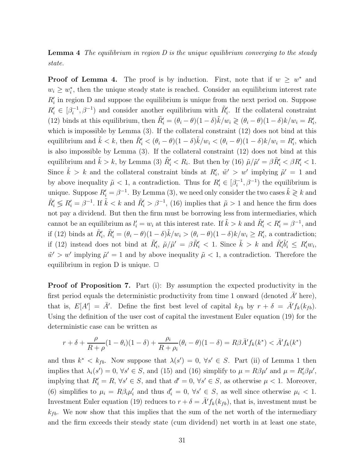**Lemma 4** *The equilibrium in region D is the unique equilibrium converging to the steady state.*

**Proof of Lemma 4.** The proof is by induction. First, note that if  $w \geq w^*$  and  $w_i \geq w_i^*$ , then the unique steady state is reached. Consider an equilibrium interest rate  $R'_{i}$  in region D and suppose the equilibrium is unique from the next period on. Suppose  $R'_i \in [\beta_i^{-1}, \beta^{-1}]$  and consider another equilibrium with  $R'_i$ . If the collateral constraint (12) binds at this equilibrium, then  $\tilde{R}'_i = (\theta_i - \theta)(1 - \delta)\tilde{k}/w_i \geq (\theta_i - \theta)(1 - \delta)k/w_i = R'_i$ , which is impossible by Lemma  $(3)$ . If the collateral constraint  $(12)$  does not bind at this equilibrium and  $\tilde{k} < k$ , then  $\tilde{R}'_i < (\theta_i - \theta)(1 - \delta)\tilde{k}/w_i < (\theta_i - \theta)(1 - \delta)k/w_i = R'_i$ , which is also impossible by Lemma (3). If the collateral constraint (12) does not bind at this equilibrium and  $\tilde{k} > k$ , by Lemma (3)  $\tilde{R}'_i < R_i$ . But then by (16)  $\tilde{\mu}/\tilde{\mu}' = \beta \tilde{R}'_i < \beta R'_i < 1$ . Since  $\tilde{k} > k$  and the collateral constraint binds at  $R'_i$ ,  $\tilde{w}' > w'$  implying  $\tilde{\mu}' = 1$  and by above inequality  $\tilde{\mu} < 1$ , a contradiction. Thus for  $R'_i \in [\beta_i^{-1}, \beta^{-1}]$  the equilibrium is unique. Suppose  $R'_i = \beta^{-1}$ . By Lemma (3), we need only consider the two cases  $\tilde{k} \geq k$  and  $\tilde{R}'_i \leq R'_i = \beta^{-1}$ . If  $\tilde{k} < k$  and  $\tilde{R}'_i > \beta^{-1}$ , (16) implies that  $\tilde{\mu} > 1$  and hence the firm does not pay a dividend. But then the firm must be borrowing less from intermediaries, which cannot be an equilibrium as  $l'_i = w_i$  at this interest rate. If  $\tilde{k} > k$  and  $\tilde{R}'_i < R'_i = \beta^{-1}$ , and if (12) binds at  $\tilde{R}'_i$ ,  $\tilde{R}'_i = (\theta_i - \theta)(1 - \delta)\tilde{k}/w_i > (\theta_i - \theta)(1 - \delta)k/w_i \ge R'_i$ , a contradiction; if (12) instead does not bind at  $\tilde{R}'_i$ ,  $\tilde{\mu}/\tilde{\mu}' = \beta \tilde{R}'_i < 1$ . Since  $\tilde{k} > k$  and  $\tilde{R}'_i \tilde{b}'_i \le R'_i w_i$ ,  $\tilde{w}' > w'$  implying  $\tilde{\mu}' = 1$  and by above inequality  $\tilde{\mu} < 1$ , a contradiction. Therefore the equilibrium in region D is unique.  $\Box$ 

**Proof of Proposition 7.** Part (i): By assumption the expected productivity in the first period equals the deterministic productivity from time 1 onward (denoted  $\bar{A}^{\prime}$  here), that is,  $E[A'] = \overline{A}'$ . Define the first best level of capital  $k_{fb}$  by  $r + \delta = \overline{A}' f_k(k_{fb})$ . Using the definition of the user cost of capital the investment Euler equation (19) for the deterministic case can be written as

$$
r + \delta + \frac{\rho}{R + \rho} (1 - \theta_i)(1 - \delta) + \frac{\rho_i}{R + \rho_i} (\theta_i - \theta)(1 - \delta) = R\beta \bar{A}' f_k(k^*) < \bar{A}' f_k(k^*)
$$

and thus  $k^* < k_{fb}$ . Now suppose that  $\lambda(s') = 0$ ,  $\forall s' \in S$ . Part (ii) of Lemma 1 then implies that  $\lambda_i(s') = 0$ ,  $\forall s' \in S$ , and (15) and (16) simplify to  $\mu = R\beta\mu'$  and  $\mu = R'_i\beta\mu'$ , implying that  $R_i' = R$ ,  $\forall s' \in S$ , and that  $d' = 0$ ,  $\forall s' \in S$ , as otherwise  $\mu < 1$ . Moreover, (6) simplifies to  $\mu_i = R\beta_i\mu'_i$  and thus  $d'_i = 0, \forall s' \in S$ , as well since otherwise  $\mu_i < 1$ . Investment Euler equation (19) reduces to  $r + \delta = \bar{A}' f_k(k_{fb})$ , that is, investment must be  $k_{fb}$ . We now show that this implies that the sum of the net worth of the intermediary and the firm exceeds their steady state (cum dividend) net worth in at least one state,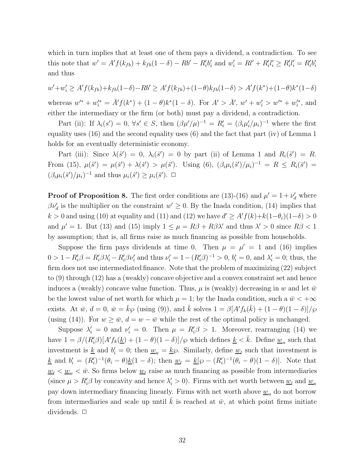which in turn implies that at least one of them pays a dividend, a contradiction. To see this note that  $w' = A' f(k_{fb}) + k_{fb} (1 - \delta) - Rb' - R'_{i} b'_{i}$  and  $w'_{i} = Rl' + R'_{i} l'_{i} \ge R'_{i} l'_{i} = R'_{i} b'_{i}$ and thus

 $w' + w'_i \ge A' f(k_{fb}) + k_{fb}(1-\delta) - Rb' \ge A' f(k_{fb}) + (1-\theta)k_{fb}(1-\delta) > A' f(k^*) + (1-\theta)k^*(1-\delta)$  $w'' + w''_i = \overline{A}'f(k^*) + (1 - \theta)k^*(1 - \delta)$ . For  $A' > \overline{A}'$ ,  $w' + w'_i > w''^* + w''_i$ , and either the intermediary or the firm (or both) must pay a dividend, a contradiction.

Part (ii): If  $\lambda_i(s') = 0$ ,  $\forall s' \in S$ , then  $(\beta \mu'/\mu)^{-1} = R'_i = (\beta_i \mu'_i/\mu_i)^{-1}$  where the first equality uses (16) and the second equality uses (6) and the fact that part (iv) of Lemma 1 holds for an eventually deterministic economy.

Part (iii): Since  $\lambda(\hat{s}') = 0$ ,  $\lambda_i(\hat{s}') = 0$  by part (ii) of Lemma 1 and  $R_i(\hat{s}') = R$ . From (15),  $\mu(\hat{s}') = \mu(\check{s}') + \lambda(\check{s}') > \mu(\check{s}')$ . Using (6),  $(\beta_i \mu_i(\hat{s}')/\mu_i)^{-1} = R \le R_i(\check{s}') =$  $(\beta_i \mu_i(\check{s}')/\mu_i)^{-1}$  and thus  $\mu_i(\hat{s}') \geq \mu_i(\check{s}')$ .  $\Box$ 

**Proof of Proposition 8.** The first order conditions are (13)-(16) and  $\mu' = 1 + \nu'_{d}$  where  $\beta \nu'_{d}$  is the multiplier on the constraint  $w' \geq 0$ . By the Inada condition, (14) implies that *k* > 0 and using (10) at equality and (11) and (12) we have  $d' \geq A'f(k)+k(1-\theta_i)(1-\delta) > 0$ and  $\mu' = 1$ . But (13) and (15) imply  $1 \leq \mu = R\beta + R\beta\lambda'$  and thus  $\lambda' > 0$  since  $R\beta < 1$ by assumption; that is, all firms raise as much financing as possible from households.

Suppose the firm pays dividends at time 0. Then  $\mu = \mu' = 1$  and (16) implies  $0 > 1 - R'_i \beta = R'_i \beta \lambda'_i - R'_i \beta \nu'_i$  and thus  $\nu'_i = 1 - (R'_i \beta)^{-1} > 0$ ,  $b'_i = 0$ , and  $\lambda'_i = 0$ ; thus, the firm does not use intermediated finance. Note that the problem of maximizing (22) subject to (9) through (12) has a (weakly) concave objective and a convex constraint set and hence induces a (weakly) concave value function. Thus,  $\mu$  is (weakly) decreasing in *w* and let  $\bar{w}$ be the lowest value of net worth for which  $\mu = 1$ ; by the Inada condition, such a  $\bar{w} < +\infty$ exists. At  $\bar{w}$ ,  $d = 0$ ,  $\bar{w} = \bar{k}\wp$  (using (9)), and  $\bar{k}$  solves  $1 = \beta[A' f_k(\bar{k}) + (1 - \theta)(1 - \delta)]/\wp$ (using (14)). For  $w \ge \bar{w}$ ,  $d = w - \bar{w}$  while the rest of the optimal policy is unchanged.

Suppose  $\lambda_i' = 0$  and  $\nu_i' = 0$ . Then  $\mu = R_i' \beta > 1$ . Moreover, rearranging (14) we have  $1 = \beta/(R_i^{\prime} \beta)[A^{\prime} f_k(\underline{k}) + (1 - \theta)(1 - \delta)]/\varphi$  which defines  $\underline{k} < \overline{k}$ . Define  $\underline{w}_u$  such that investment is <u>k</u> and  $b_i' = 0$ ; then  $\underline{w}_u = k\wp$ . Similarly, define  $\underline{w}_l$  such that investment is  $\underline{k}$  and  $b_i' = (R_i')^{-1}(\theta_i - \theta)\underline{k}(1 - \delta)$ ; then  $\underline{w}_l = \underline{k}[\wp - (R_i')^{-1}(\theta_i - \theta)(1 - \delta)]$ . Note that  $w_l < w_u < \bar{w}$ . So firms below  $w_l$  raise as much financing as possible from intermediaries (since  $\mu > R'_i\beta$  by concavity and hence  $\lambda'_i > 0$ ). Firms with net worth between <u> $w_l$ </u> and  $w_u$ pay down intermediary financing linearly. Firms with net worth above  $\underline{w}_u$  do not borrow from intermediaries and scale up until  $\bar{k}$  is reached at  $\bar{w}$ , at which point firms initiate dividends. □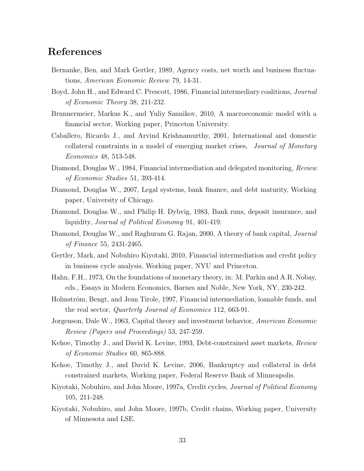# **References**

- Bernanke, Ben, and Mark Gertler, 1989, Agency costs, net worth and business fluctuations, *American Economic Review* 79, 14-31.
- Boyd, John H., and Edward C. Prescott, 1986, Financial intermediary coalitions, *Journal of Economic Theory* 38, 211-232.
- Brunnermeier, Markus K., and Yuliy Sannikov, 2010, A macroeconomic model with a financial sector, Working paper, Princeton University.
- Caballero, Ricardo J., and Arvind Krishnamurthy, 2001, International and domestic collateral constraints in a model of emerging market crises, *Journal of Monetary Economics* 48, 513-548.
- Diamond, Douglas W., 1984, Financial intermediation and delegated monitoring, *Review of Economic Studies* 51, 393-414.
- Diamond, Douglas W., 2007, Legal systems, bank finance, and debt maturity, Working paper, University of Chicago.
- Diamond, Douglas W., and Philip H. Dybvig, 1983, Bank runs, deposit insurance, and liquidity, *Journal of Political Economy* 91, 401-419.
- Diamond, Douglas W., and Raghuram G. Rajan, 2000, A theory of bank capital, *Journal of Finance* 55, 2431-2465.
- Gertler, Mark, and Nobuhiro Kiyotaki, 2010, Financial intermediation and credit policy in business cycle analysis, Working paper, NYU and Princeton.
- Hahn, F.H., 1973, On the foundations of monetary theory, in: M. Parkin and A.R. Nobay, eds., Essays in Modern Economics, Barnes and Noble, New York, NY, 230-242.
- Holmström, Bengt, and Jean Tirole, 1997, Financial intermediation, loanable funds, and the real sector, *Quarterly Journal of Economics* 112, 663-91.
- Jorgenson, Dale W., 1963, Capital theory and investment behavior, *American Economic Review (Papers and Proceedings)* 53, 247-259.
- Kehoe, Timothy J., and David K. Levine, 1993, Debt-constrained asset markets, *Review of Economic Studies* 60, 865-888.
- Kehoe, Timothy J., and David K. Levine, 2006, Bankruptcy and collateral in debt constrained markets, Working paper, Federal Reserve Bank of Minneapolis.
- Kiyotaki, Nobuhiro, and John Moore, 1997a, Credit cycles, *Journal of Political Economy* 105, 211-248.
- Kiyotaki, Nobuhiro, and John Moore, 1997b, Credit chains, Working paper, University of Minnesota and LSE.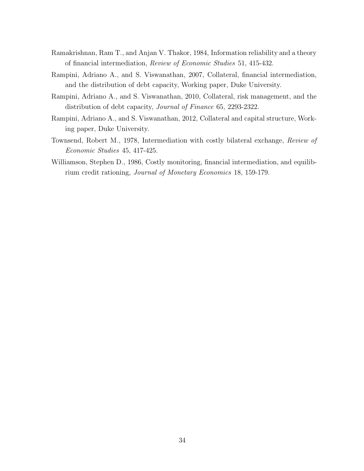- Ramakrishnan, Ram T., and Anjan V. Thakor, 1984, Information reliability and a theory of financial intermediation, *Review of Economic Studies* 51, 415-432.
- Rampini, Adriano A., and S. Viswanathan, 2007, Collateral, financial intermediation, and the distribution of debt capacity, Working paper, Duke University.
- Rampini, Adriano A., and S. Viswanathan, 2010, Collateral, risk management, and the distribution of debt capacity, *Journal of Finance* 65, 2293-2322.
- Rampini, Adriano A., and S. Viswanathan, 2012, Collateral and capital structure, Working paper, Duke University.
- Townsend, Robert M., 1978, Intermediation with costly bilateral exchange, *Review of Economic Studies* 45, 417-425.
- Williamson, Stephen D., 1986, Costly monitoring, financial intermediation, and equilibrium credit rationing, *Journal of Monetary Economics* 18, 159-179.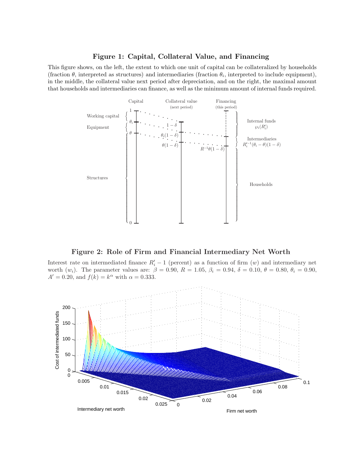#### **Figure 1: Capital, Collateral Value, and Financing**

This figure shows, on the left, the extent to which one unit of capital can be collateralized by households (fraction  $\theta$ , interpreted as structures) and intermediaries (fraction  $\theta_i$ , interpreted to include equipment), in the middle, the collateral value next period after depreciation, and on the right, the maximal amount that households and intermediaries can finance, as well as the minimum amount of internal funds required.



**Figure 2: Role of Firm and Financial Intermediary Net Worth**

Interest rate on intermediated finance  $R_i' - 1$  (percent) as a function of firm  $(w)$  and intermediary net worth  $(w_i)$ . The parameter values are:  $\beta = 0.90, R = 1.05, \beta_i = 0.94, \delta = 0.10, \theta = 0.80, \theta_i = 0.90,$  $A' = 0.20$ , and  $f(k) = k^{\alpha}$  with  $\alpha = 0.333$ .

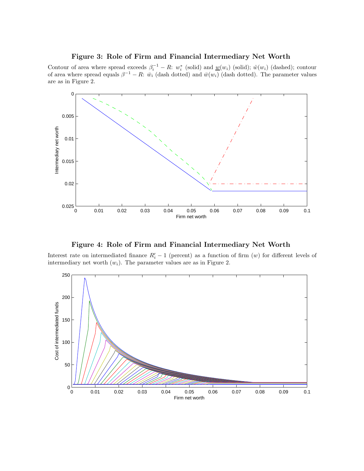#### **Figure 3: Role of Firm and Financial Intermediary Net Worth**

Contour of area where spread exceeds  $\beta_i^{-1} - R: w_i^*$  (solid) and  $w(w_i)$  (solid);  $\hat{w}(w_i)$  (dashed); contour of area where spread equals  $\beta^{-1} - R$ :  $\bar{w}_i$  (dash dotted) and  $\bar{w}(w_i)$  (dash dotted). The parameter values are as in Figure 2.



**Figure 4: Role of Firm and Financial Intermediary Net Worth**

Interest rate on intermediated finance  $R_i' - 1$  (percent) as a function of firm  $(w)$  for different levels of intermediary net worth  $(w_i)$ . The parameter values are as in Figure 2.

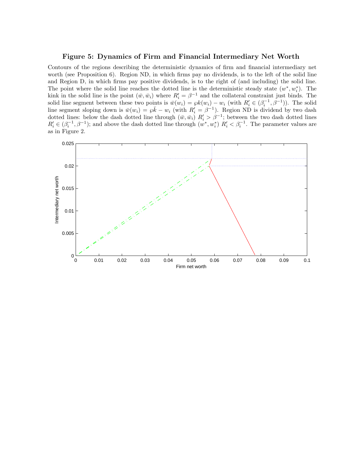#### **Figure 5: Dynamics of Firm and Financial Intermediary Net Worth**

Contours of the regions describing the deterministic dynamics of firm and financial intermediary net worth (see Proposition 6). Region ND, in which firms pay no dividends, is to the left of the solid line and Region D, in which firms pay positive dividends, is to the right of (and including) the solid line. The point where the solid line reaches the dotted line is the deterministic steady state  $(w^*, w_i^*)$ . The kink in the solid line is the point  $(\bar{w}, \bar{w}_i)$  where  $R'_i = \beta^{-1}$  and the collateral constraint just binds. The solid line segment between these two points is  $\bar{w}(w_i) = \wp k(w_i) - w_i$  (with  $R'_i \in (\beta_i^{-1}, \beta^{-1})$ ). The solid line segment sloping down is  $\bar{w}(w_i) = \wp \bar{k} - w_i$  (with  $R'_i = \beta^{-1}$ ). Region ND is dividend by two dash dotted lines: below the dash dotted line through  $(\bar{w}, \bar{w}_i)$   $R'_i > \beta^{-1}$ ; between the two dash dotted lines  $R_i' \in (\beta_i^{-1}, \beta^{-1})$ ; and above the dash dotted line through  $(w^*, w_i^*)$   $R_i' < \beta_i^{-1}$ . The parameter values are as in Figure 2.

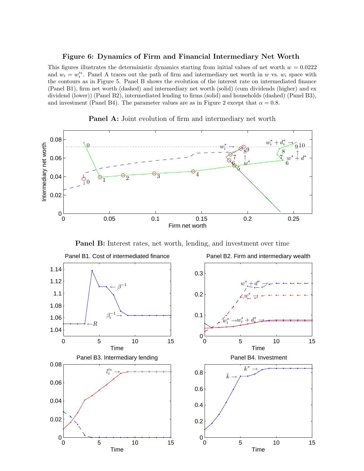#### **Figure 6: Dynamics of Firm and Financial Intermediary Net Worth**

This figures illustrates the deterministic dynamics starting from initial values of net worth  $w = 0.0222$ and  $w_i = w_i^{\prime *}$ . Panel A traces out the path of firm and intermediary net worth in *w* vs.  $w_i$  space with the contours as in Figure 5. Panel B shows the evolution of the interest rate on intermediated finance (Panel B1), firm net worth (dashed) and intermediary net worth (solid) (cum dividends (higher) and ex dividend (lower)) (Panel B2), intermediated lending to firms (solid) and households (dashed) (Panel B3), and investment (Panel B4). The parameter values are as in Figure 2 except that  $\alpha = 0.8$ .





**Panel B:** Interest rates, net worth, lending, and investment over time